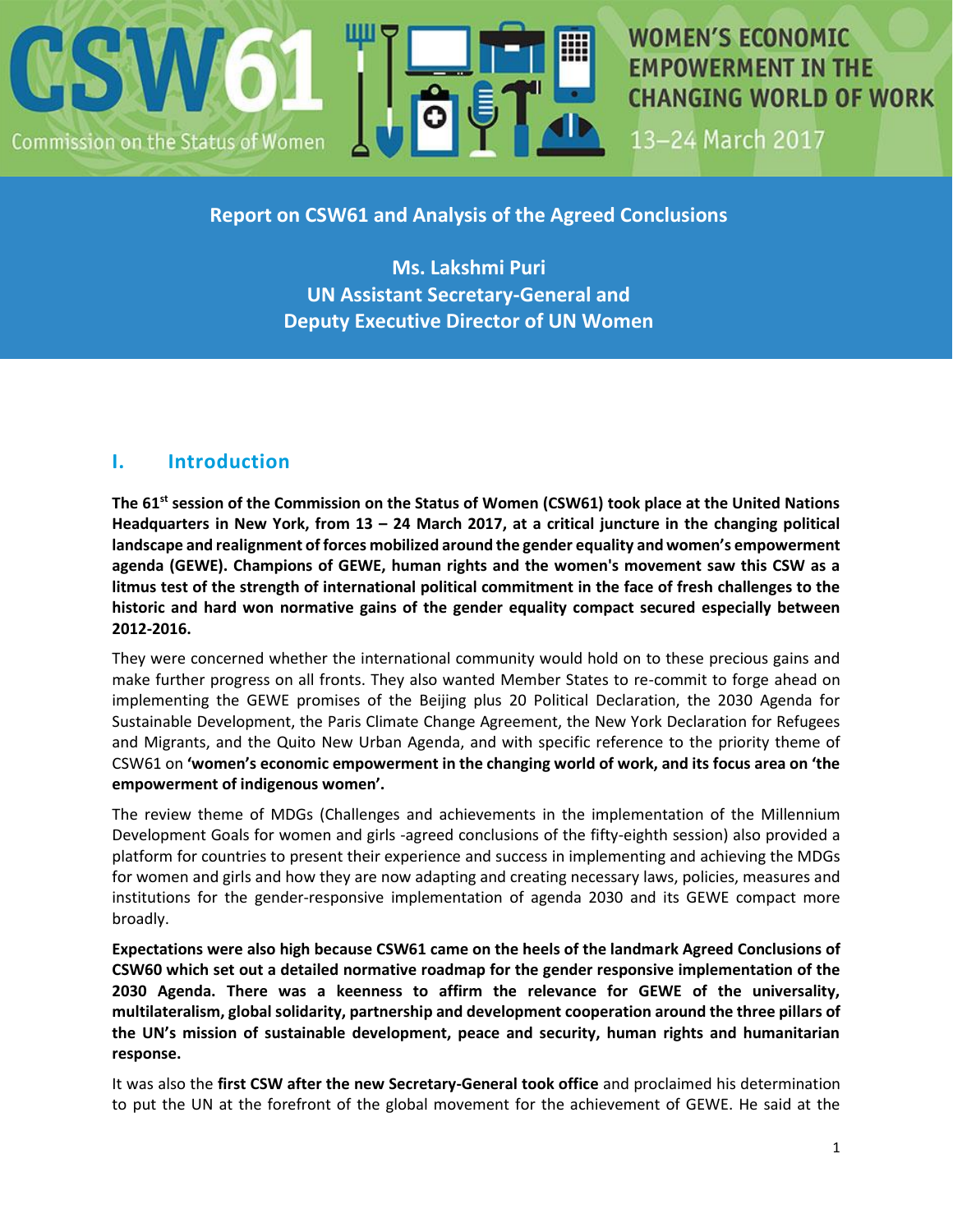

**WOMEN'S ECONOMIC EMPOWERMENT IN THE CHANGING WORLD OF WORK** 

13-24 March 2017

## **Report on CSW61 and Analysis of the Agreed Conclusions**

**Ms. Lakshmi Puri UN Assistant Secretary-General and Deputy Executive Director of UN Women** 

# **I. Introduction**

**The 61st session of the Commission on the Status of Women (CSW61) took place at the United Nations Headquarters in New York, from 13 – 24 March 2017, at a critical juncture in the changing political landscape and realignment of forces mobilized around the gender equality and women's empowerment agenda (GEWE). Champions of GEWE, human rights and the women's movement saw this CSW as a litmus test of the strength of international political commitment in the face of fresh challenges to the historic and hard won normative gains of the gender equality compact secured especially between 2012-2016.**

They were concerned whether the international community would hold on to these precious gains and make further progress on all fronts. They also wanted Member States to re-commit to forge ahead on implementing the GEWE promises of the Beijing plus 20 Political Declaration, the 2030 Agenda for Sustainable Development, the Paris Climate Change Agreement, the New York Declaration for Refugees and Migrants, and the Quito New Urban Agenda, and with specific reference to the priority theme of CSW61 on **'women's economic empowerment in the changing world of work, and its focus area on 'the empowerment of indigenous women'.** 

The review theme of MDGs (Challenges and achievements in the implementation of the Millennium Development Goals for women and girls -agreed conclusions of the fifty-eighth session) also provided a platform for countries to present their experience and success in implementing and achieving the MDGs for women and girls and how they are now adapting and creating necessary laws, policies, measures and institutions for the gender-responsive implementation of agenda 2030 and its GEWE compact more broadly.

**Expectations were also high because CSW61 came on the heels of the landmark Agreed Conclusions of CSW60 which set out a detailed normative roadmap for the gender responsive implementation of the 2030 Agenda. There was a keenness to affirm the relevance for GEWE of the universality, multilateralism, global solidarity, partnership and development cooperation around the three pillars of the UN's mission of sustainable development, peace and security, human rights and humanitarian response.**

It was also the **first CSW after the new Secretary-General took office** and proclaimed his determination to put the UN at the forefront of the global movement for the achievement of GEWE. He said at the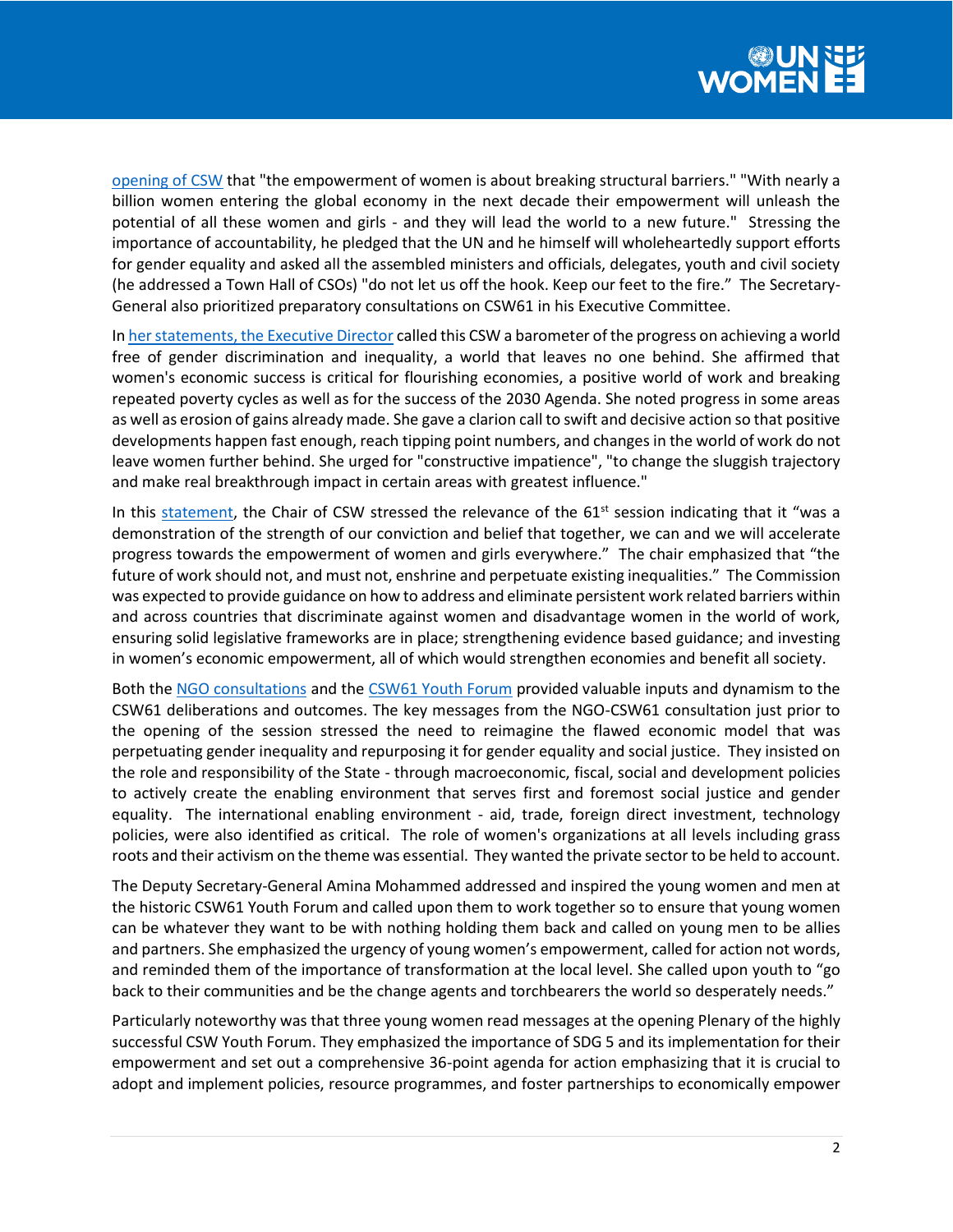

[opening of CSW](https://www.un.org/sg/en/content/sg/speeches/2017-03-13/commission-status-women-remarks) that "the empowerment of women is about breaking structural barriers." "With nearly a billion women entering the global economy in the next decade their empowerment will unleash the potential of all these women and girls - and they will lead the world to a new future." Stressing the importance of accountability, he pledged that the UN and he himself will wholeheartedly support efforts for gender equality and asked all the assembled ministers and officials, delegates, youth and civil society (he addressed a Town Hall of CSOs) "do not let us off the hook. Keep our feet to the fire." The Secretary-General also prioritized preparatory consultations on CSW61 in his Executive Committee.

I[n her statements, the Executive Director](http://www.unwomen.org/en/news/stories/2017/3/speech-ed-phumzile-csw61-opening) called this CSW a barometer of the progress on achieving a world free of gender discrimination and inequality, a world that leaves no one behind. She affirmed that women's economic success is critical for flourishing economies, a positive world of work and breaking repeated poverty cycles as well as for the success of the 2030 Agenda. She noted progress in some areas as well as erosion of gains already made. She gave a clarion call to swift and decisive action so that positive developments happen fast enough, reach tipping point numbers, and changes in the world of work do not leave women further behind. She urged for "constructive impatience", "to change the sluggish trajectory and make real breakthrough impact in certain areas with greatest influence."

In this [statement,](http://statements.unmeetings.org/media2/14682946/chair-of-the-commission-on-the-status-of-men.pdf) the Chair of CSW stressed the relevance of the  $61<sup>st</sup>$  session indicating that it "was a demonstration of the strength of our conviction and belief that together, we can and we will accelerate progress towards the empowerment of women and girls everywhere." The chair emphasized that "the future of work should not, and must not, enshrine and perpetuate existing inequalities." The Commission was expected to provide guidance on how to address and eliminate persistent work related barriers within and across countries that discriminate against women and disadvantage women in the world of work, ensuring solid legislative frameworks are in place; strengthening evidence based guidance; and investing in women's economic empowerment, all of which would strengthen economies and benefit all society.

Both the [NGO consultations](https://www.ngocsw.org/wp-content/uploads/2017/03/Marcch-7-Version-Consultation-Day-Program-2017-revised-3-6-07-v2.pdf) and th[e CSW61 Youth Forum](http://www.unwomen.org/en/news/stories/2017/3/feature-youth-powering-gender-equality-at-csw61) provided valuable inputs and dynamism to the CSW61 deliberations and outcomes. The key messages from the NGO-CSW61 consultation just prior to the opening of the session stressed the need to reimagine the flawed economic model that was perpetuating gender inequality and repurposing it for gender equality and social justice. They insisted on the role and responsibility of the State - through macroeconomic, fiscal, social and development policies to actively create the enabling environment that serves first and foremost social justice and gender equality. The international enabling environment - aid, trade, foreign direct investment, technology policies, were also identified as critical. The role of women's organizations at all levels including grass roots and their activism on the theme was essential. They wanted the private sector to be held to account.

The Deputy Secretary-General Amina Mohammed addressed and inspired the young women and men at the historic CSW61 Youth Forum and called upon them to work together so to ensure that young women can be whatever they want to be with nothing holding them back and called on young men to be allies and partners. She emphasized the urgency of young women's empowerment, called for action not words, and reminded them of the importance of transformation at the local level. She called upon youth to "go back to their communities and be the change agents and torchbearers the world so desperately needs."

Particularly noteworthy was that three young women read messages at the opening Plenary of the highly successful CSW Youth Forum. They emphasized the importance of SDG 5 and its implementation for their empowerment and set out a comprehensive 36-point agenda for action emphasizing that it is crucial to adopt and implement policies, resource programmes, and foster partnerships to economically empower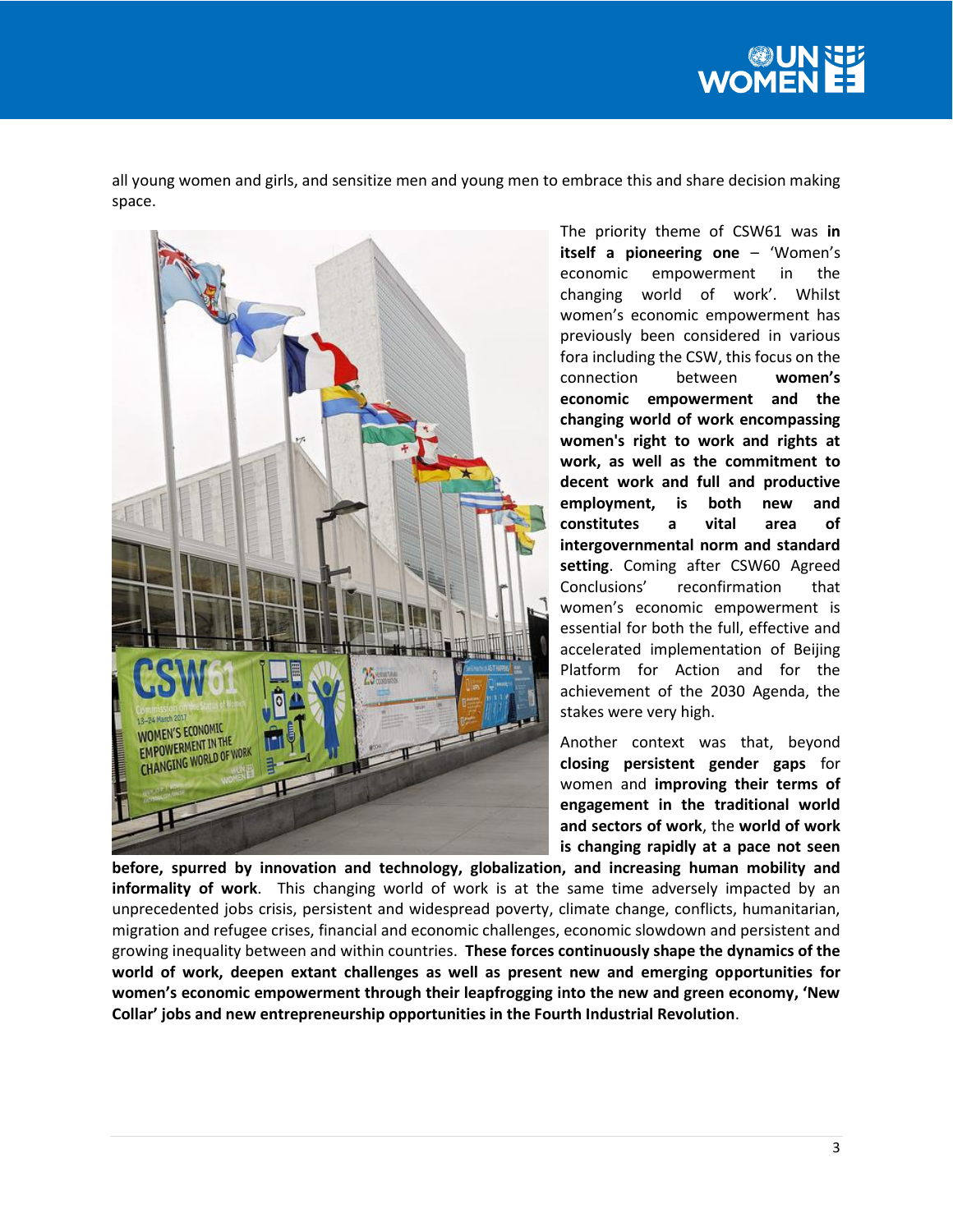

all young women and girls, and sensitize men and young men to embrace this and share decision making space.



The priority theme of CSW61 was **in itself a pioneering one** – 'Women's economic empowerment in the changing world of work'. Whilst women's economic empowerment has previously been considered in various fora including the CSW, this focus on the connection between **women's economic empowerment and the changing world of work encompassing women's right to work and rights at work, as well as the commitment to decent work and full and productive employment, is both new and constitutes a vital area of intergovernmental norm and standard setting**. Coming after CSW60 Agreed Conclusions' reconfirmation that women's economic empowerment is essential for both the full, effective and accelerated implementation of Beijing Platform for Action and for the achievement of the 2030 Agenda, the stakes were very high.

Another context was that, beyond **closing persistent gender gaps** for women and **improving their terms of engagement in the traditional world and sectors of work**, the **world of work is changing rapidly at a pace not seen** 

**before, spurred by innovation and technology, globalization, and increasing human mobility and informality of work**. This changing world of work is at the same time adversely impacted by an unprecedented jobs crisis, persistent and widespread poverty, climate change, conflicts, humanitarian, migration and refugee crises, financial and economic challenges, economic slowdown and persistent and growing inequality between and within countries. **These forces continuously shape the dynamics of the world of work, deepen extant challenges as well as present new and emerging opportunities for women's economic empowerment through their leapfrogging into the new and green economy, 'New Collar' jobs and new entrepreneurship opportunities in the Fourth Industrial Revolution**.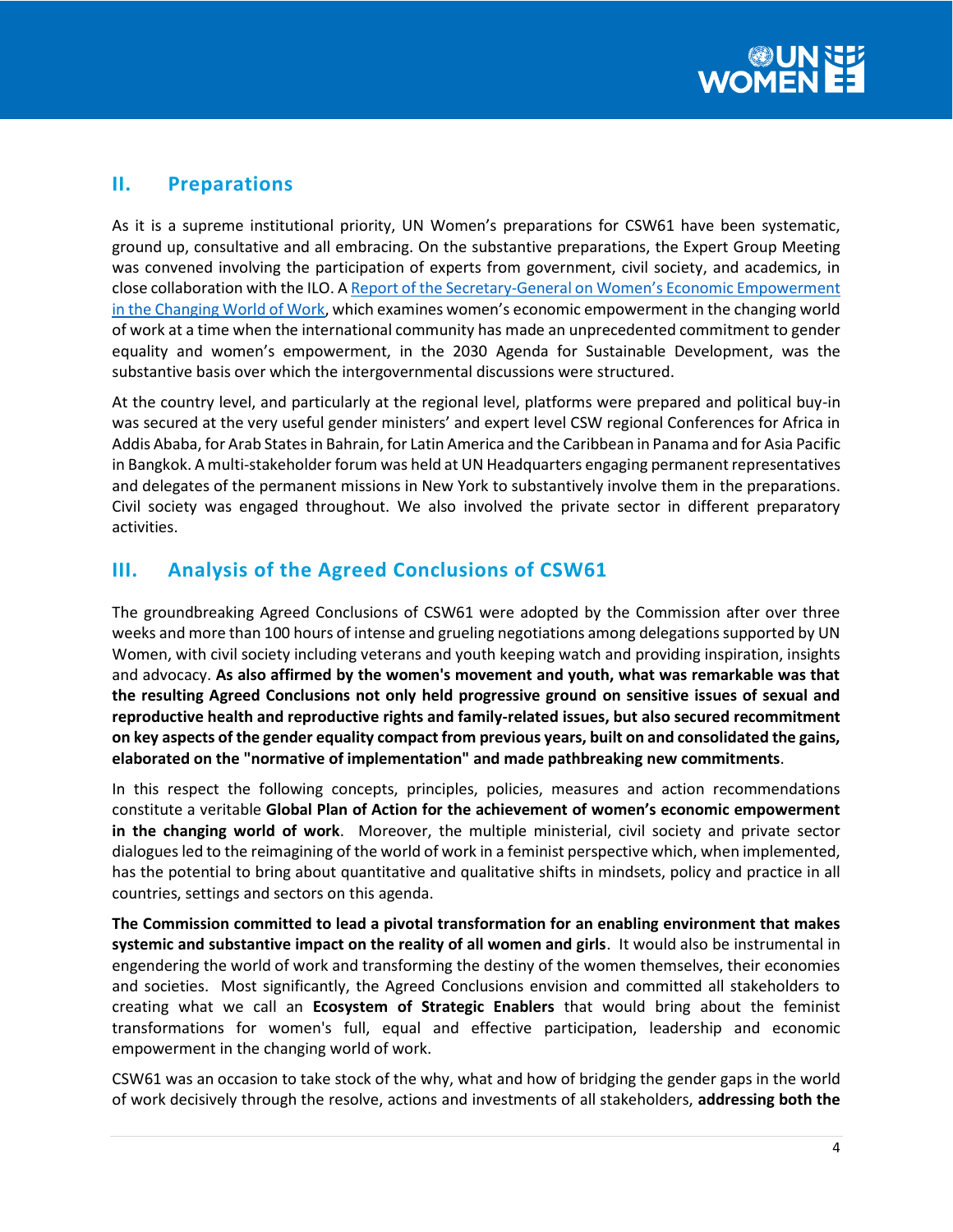# **II. Preparations**

As it is a supreme institutional priority, UN Women's preparations for CSW61 have been systematic, ground up, consultative and all embracing. On the substantive preparations, the Expert Group Meeting was convened involving the participation of experts from government, civil society, and academics, in close collaboration with the ILO. A Report of the Secretary-[General on Women's Economic Empowerment](http://undocs.org/en/E/CN.6/2017/3)  [in the Changing World of Work,](http://undocs.org/en/E/CN.6/2017/3) which examines women's economic empowerment in the changing world of work at a time when the international community has made an unprecedented commitment to gender equality and women's empowerment, in the 2030 Agenda for Sustainable Development, was the substantive basis over which the intergovernmental discussions were structured.

At the country level, and particularly at the regional level, platforms were prepared and political buy-in was secured at the very useful gender ministers' and expert level CSW regional Conferences for Africa in Addis Ababa, for Arab States in Bahrain, for Latin America and the Caribbean in Panama and for Asia Pacific in Bangkok. A multi-stakeholder forum was held at UN Headquarters engaging permanent representatives and delegates of the permanent missions in New York to substantively involve them in the preparations. Civil society was engaged throughout. We also involved the private sector in different preparatory activities.

# **III. Analysis of the Agreed Conclusions of CSW61**

The groundbreaking Agreed Conclusions of CSW61 were adopted by the Commission after over three weeks and more than 100 hours of intense and grueling negotiations among delegations supported by UN Women, with civil society including veterans and youth keeping watch and providing inspiration, insights and advocacy. **As also affirmed by the women's movement and youth, what was remarkable was that the resulting Agreed Conclusions not only held progressive ground on sensitive issues of sexual and reproductive health and reproductive rights and family-related issues, but also secured recommitment on key aspects of the gender equality compact from previous years, built on and consolidated the gains, elaborated on the "normative of implementation" and made pathbreaking new commitments**.

In this respect the following concepts, principles, policies, measures and action recommendations constitute a veritable **Global Plan of Action for the achievement of women's economic empowerment in the changing world of work**. Moreover, the multiple ministerial, civil society and private sector dialogues led to the reimagining of the world of work in a feminist perspective which, when implemented, has the potential to bring about quantitative and qualitative shifts in mindsets, policy and practice in all countries, settings and sectors on this agenda.

**The Commission committed to lead a pivotal transformation for an enabling environment that makes systemic and substantive impact on the reality of all women and girls**. It would also be instrumental in engendering the world of work and transforming the destiny of the women themselves, their economies and societies. Most significantly, the Agreed Conclusions envision and committed all stakeholders to creating what we call an **Ecosystem of Strategic Enablers** that would bring about the feminist transformations for women's full, equal and effective participation, leadership and economic empowerment in the changing world of work.

CSW61 was an occasion to take stock of the why, what and how of bridging the gender gaps in the world of work decisively through the resolve, actions and investments of all stakeholders, **addressing both the**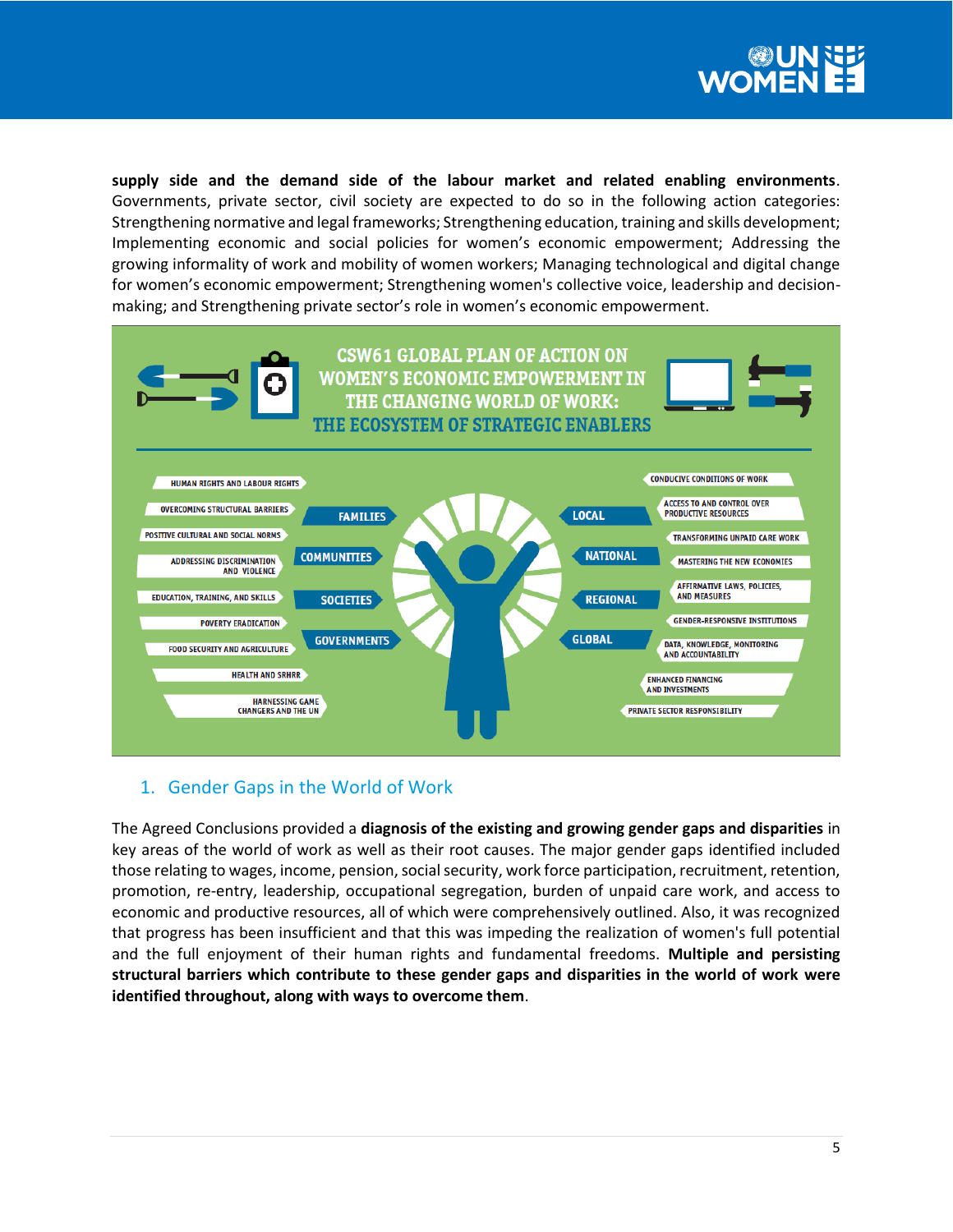

**supply side and the demand side of the labour market and related enabling environments**. Governments, private sector, civil society are expected to do so in the following action categories: Strengthening normative and legal frameworks; Strengthening education, training and skills development; Implementing economic and social policies for women's economic empowerment; Addressing the growing informality of work and mobility of women workers; Managing technological and digital change for women's economic empowerment; Strengthening women's collective voice, leadership and decisionmaking; and Strengthening private sector's role in women's economic empowerment.



# 1. Gender Gaps in the World of Work

The Agreed Conclusions provided a **diagnosis of the existing and growing gender gaps and disparities** in key areas of the world of work as well as their root causes. The major gender gaps identified included those relating to wages, income, pension, social security, work force participation, recruitment, retention, promotion, re-entry, leadership, occupational segregation, burden of unpaid care work, and access to economic and productive resources, all of which were comprehensively outlined. Also, it was recognized that progress has been insufficient and that this was impeding the realization of women's full potential and the full enjoyment of their human rights and fundamental freedoms. **Multiple and persisting structural barriers which contribute to these gender gaps and disparities in the world of work were identified throughout, along with ways to overcome them**.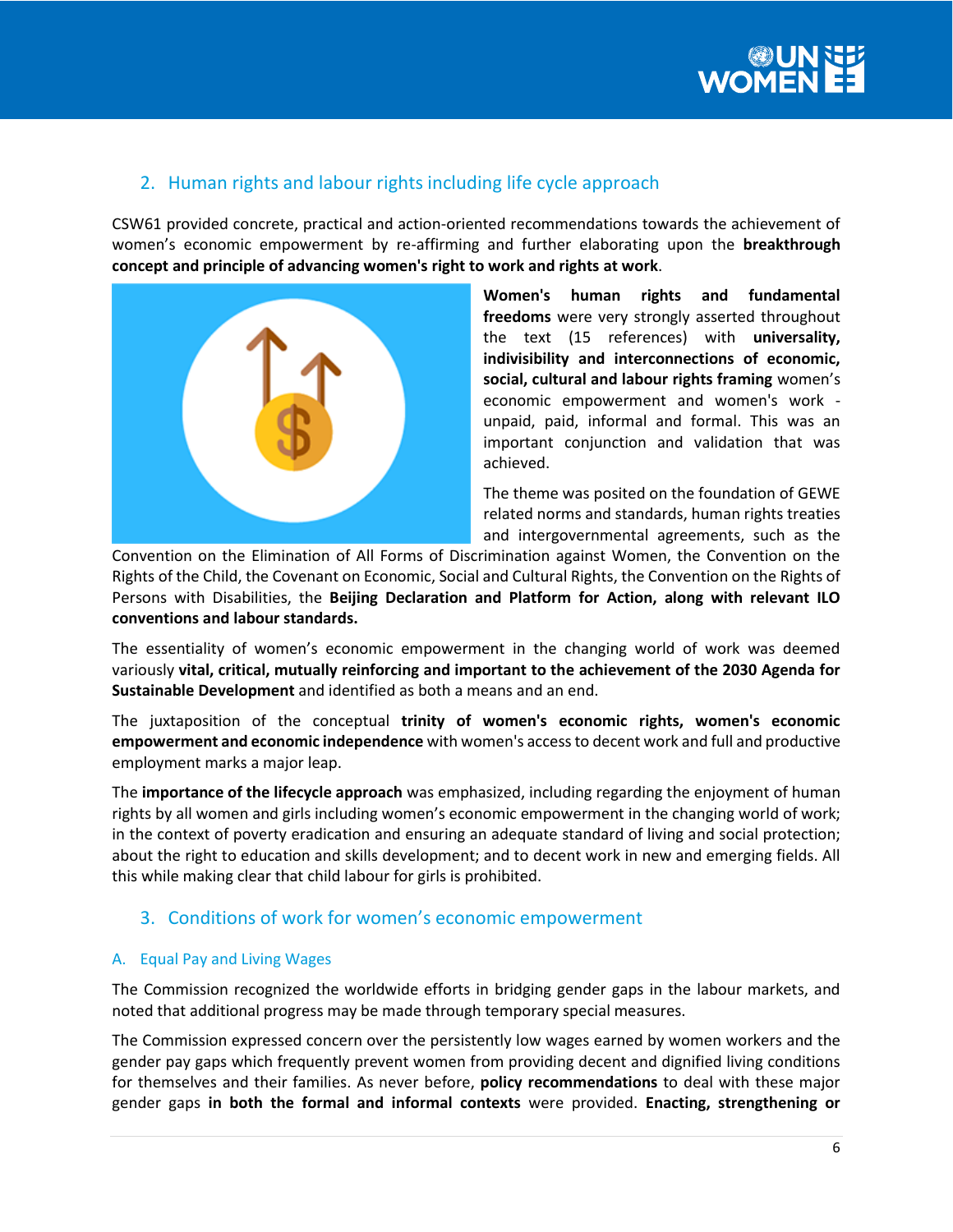

# 2. Human rights and labour rights including life cycle approach

CSW61 provided concrete, practical and action-oriented recommendations towards the achievement of women's economic empowerment by re-affirming and further elaborating upon the **breakthrough concept and principle of advancing women's right to work and rights at work**.



**Women's human rights and fundamental freedoms** were very strongly asserted throughout the text (15 references) with **universality, indivisibility and interconnections of economic, social, cultural and labour rights framing** women's economic empowerment and women's work unpaid, paid, informal and formal. This was an important conjunction and validation that was achieved.

The theme was posited on the foundation of GEWE related norms and standards, human rights treaties and intergovernmental agreements, such as the

Convention on the Elimination of All Forms of Discrimination against Women, the Convention on the Rights of the Child, the Covenant on Economic, Social and Cultural Rights, the Convention on the Rights of Persons with Disabilities, the **Beijing Declaration and Platform for Action, along with relevant ILO conventions and labour standards.** 

The essentiality of women's economic empowerment in the changing world of work was deemed variously **vital, critical, mutually reinforcing and important to the achievement of the 2030 Agenda for Sustainable Development** and identified as both a means and an end.

The juxtaposition of the conceptual **trinity of women's economic rights, women's economic empowerment and economic independence** with women's access to decent work and full and productive employment marks a major leap.

The **importance of the lifecycle approach** was emphasized, including regarding the enjoyment of human rights by all women and girls including women's economic empowerment in the changing world of work; in the context of poverty eradication and ensuring an adequate standard of living and social protection; about the right to education and skills development; and to decent work in new and emerging fields. All this while making clear that child labour for girls is prohibited.

# 3. Conditions of work for women's economic empowerment

## A. Equal Pay and Living Wages

The Commission recognized the worldwide efforts in bridging gender gaps in the labour markets, and noted that additional progress may be made through temporary special measures.

The Commission expressed concern over the persistently low wages earned by women workers and the gender pay gaps which frequently prevent women from providing decent and dignified living conditions for themselves and their families. As never before, **policy recommendations** to deal with these major gender gaps **in both the formal and informal contexts** were provided. **Enacting, strengthening or**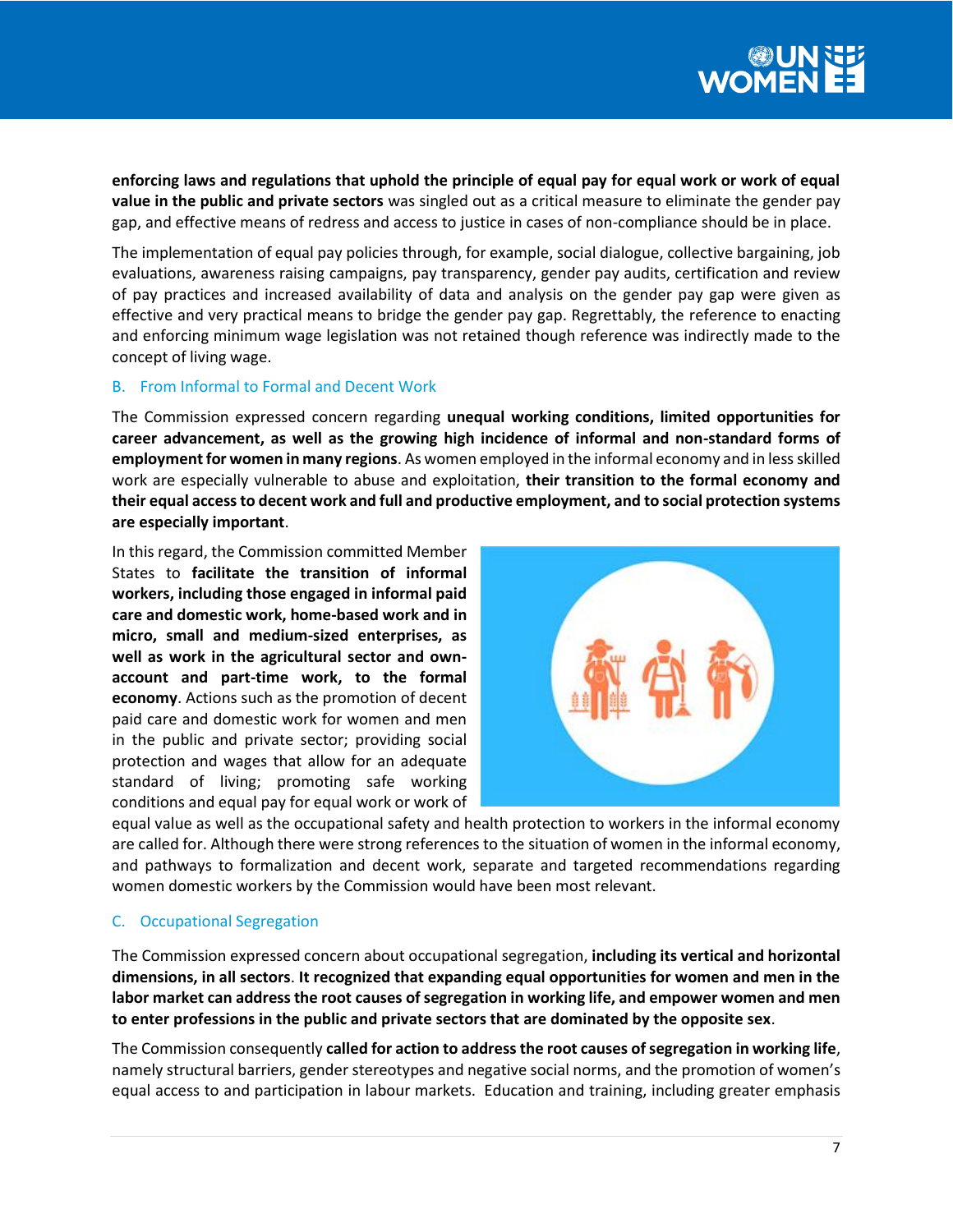**enforcing laws and regulations that uphold the principle of equal pay for equal work or work of equal value in the public and private sectors** was singled out as a critical measure to eliminate the gender pay gap, and effective means of redress and access to justice in cases of non-compliance should be in place.

The implementation of equal pay policies through, for example, social dialogue, collective bargaining, job evaluations, awareness raising campaigns, pay transparency, gender pay audits, certification and review of pay practices and increased availability of data and analysis on the gender pay gap were given as effective and very practical means to bridge the gender pay gap. Regrettably, the reference to enacting and enforcing minimum wage legislation was not retained though reference was indirectly made to the concept of living wage.

## B. From Informal to Formal and Decent Work

The Commission expressed concern regarding **unequal working conditions, limited opportunities for career advancement, as well as the growing high incidence of informal and non-standard forms of employment for women in many regions**. As women employed in the informal economy and in less skilled work are especially vulnerable to abuse and exploitation, **their transition to the formal economy and their equal access to decent work and full and productive employment, and to social protection systems are especially important**.

In this regard, the Commission committed Member States to **facilitate the transition of informal workers, including those engaged in informal paid care and domestic work, home-based work and in micro, small and medium-sized enterprises, as well as work in the agricultural sector and ownaccount and part-time work, to the formal economy**. Actions such as the promotion of decent paid care and domestic work for women and men in the public and private sector; providing social protection and wages that allow for an adequate standard of living; promoting safe working conditions and equal pay for equal work or work of



equal value as well as the occupational safety and health protection to workers in the informal economy are called for. Although there were strong references to the situation of women in the informal economy, and pathways to formalization and decent work, separate and targeted recommendations regarding women domestic workers by the Commission would have been most relevant.

## C. Occupational Segregation

The Commission expressed concern about occupational segregation, **including its vertical and horizontal dimensions, in all sectors**. **It recognized that expanding equal opportunities for women and men in the labor market can address the root causes of segregation in working life, and empower women and men to enter professions in the public and private sectors that are dominated by the opposite sex**.

The Commission consequently **called for action to address the root causes of segregation in working life**, namely structural barriers, gender stereotypes and negative social norms, and the promotion of women's equal access to and participation in labour markets. Education and training, including greater emphasis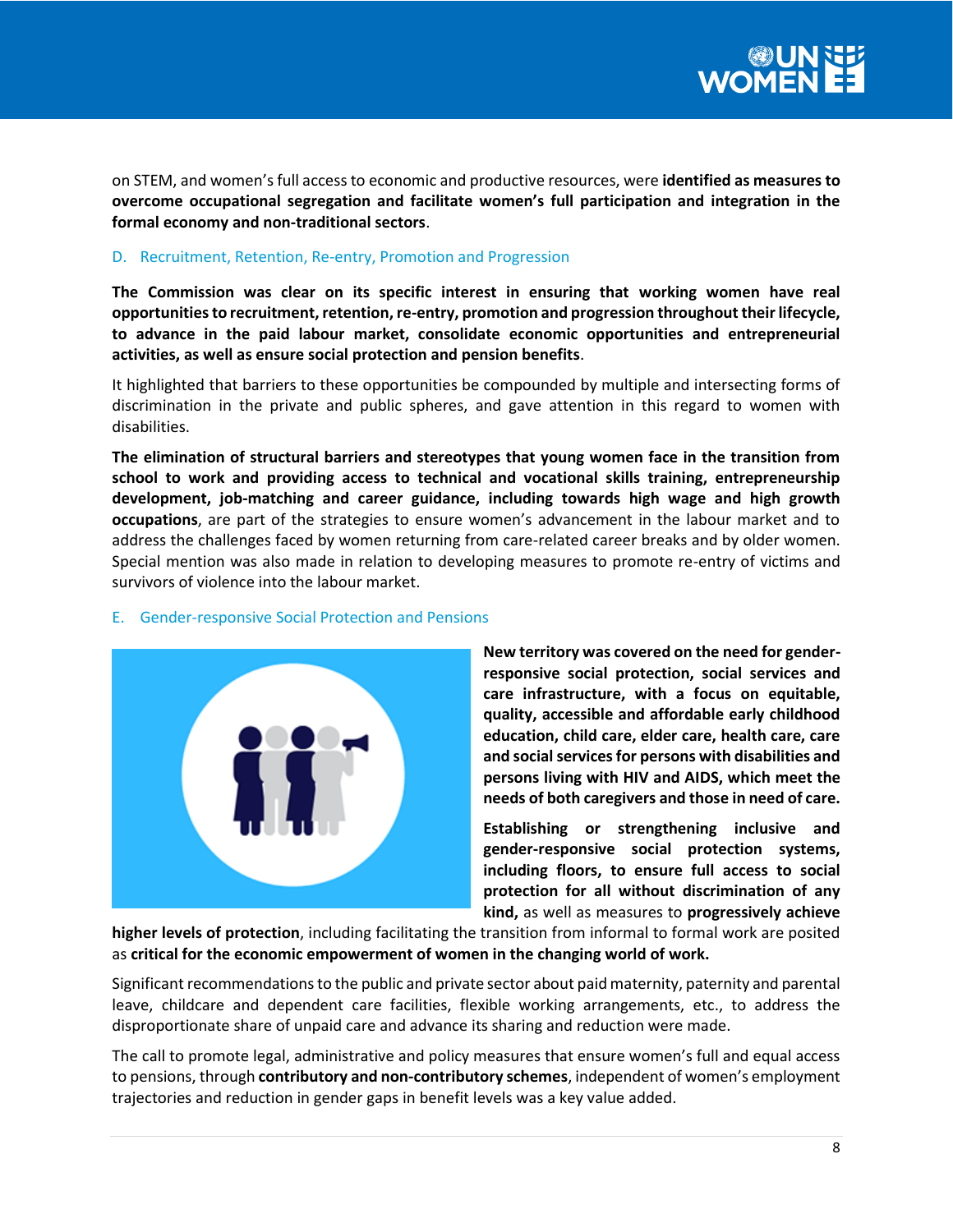on STEM, and women's full access to economic and productive resources, were **identified as measures to overcome occupational segregation and facilitate women's full participation and integration in the formal economy and non-traditional sectors**.

## D. Recruitment, Retention, Re-entry, Promotion and Progression

**The Commission was clear on its specific interest in ensuring that working women have real opportunities to recruitment, retention, re-entry, promotion and progression throughout their lifecycle, to advance in the paid labour market, consolidate economic opportunities and entrepreneurial activities, as well as ensure social protection and pension benefits**.

It highlighted that barriers to these opportunities be compounded by multiple and intersecting forms of discrimination in the private and public spheres, and gave attention in this regard to women with disabilities.

**The elimination of structural barriers and stereotypes that young women face in the transition from school to work and providing access to technical and vocational skills training, entrepreneurship development, job-matching and career guidance, including towards high wage and high growth occupations**, are part of the strategies to ensure women's advancement in the labour market and to address the challenges faced by women returning from care-related career breaks and by older women. Special mention was also made in relation to developing measures to promote re-entry of victims and survivors of violence into the labour market.



## E. Gender-responsive Social Protection and Pensions

**New territory was covered on the need for genderresponsive social protection, social services and care infrastructure, with a focus on equitable, quality, accessible and affordable early childhood education, child care, elder care, health care, care and social services for persons with disabilities and persons living with HIV and AIDS, which meet the needs of both caregivers and those in need of care.**

**Establishing or strengthening inclusive and gender-responsive social protection systems, including floors, to ensure full access to social protection for all without discrimination of any kind,** as well as measures to **progressively achieve** 

**higher levels of protection**, including facilitating the transition from informal to formal work are posited as **critical for the economic empowerment of women in the changing world of work.**

Significant recommendations to the public and private sector about paid maternity, paternity and parental leave, childcare and dependent care facilities, flexible working arrangements, etc., to address the disproportionate share of unpaid care and advance its sharing and reduction were made.

The call to promote legal, administrative and policy measures that ensure women's full and equal access to pensions, through **contributory and non-contributory schemes**, independent of women's employment trajectories and reduction in gender gaps in benefit levels was a key value added.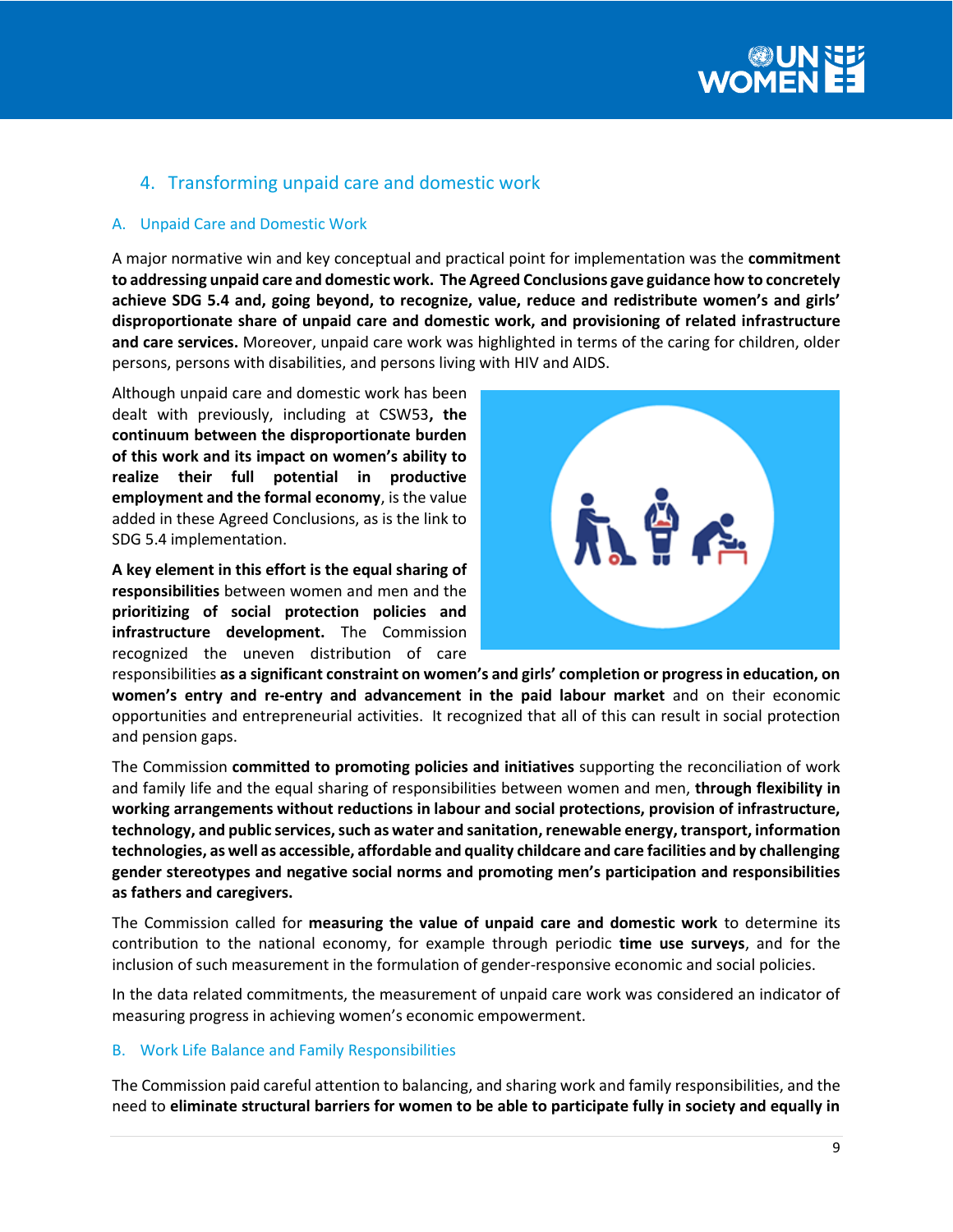

# 4. Transforming unpaid care and domestic work

#### A. Unpaid Care and Domestic Work

A major normative win and key conceptual and practical point for implementation was the **commitment to addressing unpaid care and domestic work. The Agreed Conclusions gave guidance how to concretely achieve SDG 5.4 and, going beyond, to recognize, value, reduce and redistribute women's and girls' disproportionate share of unpaid care and domestic work, and provisioning of related infrastructure and care services.** Moreover, unpaid care work was highlighted in terms of the caring for children, older persons, persons with disabilities, and persons living with HIV and AIDS.

Although unpaid care and domestic work has been dealt with previously, including at CSW53**, the continuum between the disproportionate burden of this work and its impact on women's ability to realize their full potential in productive employment and the formal economy**, is the value added in these Agreed Conclusions, as is the link to SDG 5.4 implementation.

**A key element in this effort is the equal sharing of responsibilities** between women and men and the **prioritizing of social protection policies and infrastructure development.** The Commission recognized the uneven distribution of care



responsibilities **as a significant constraint on women's and girls' completion or progress in education, on women's entry and re-entry and advancement in the paid labour market** and on their economic opportunities and entrepreneurial activities. It recognized that all of this can result in social protection and pension gaps.

The Commission **committed to promoting policies and initiatives** supporting the reconciliation of work and family life and the equal sharing of responsibilities between women and men, **through flexibility in working arrangements without reductions in labour and social protections, provision of infrastructure, technology, and public services, such as water and sanitation, renewable energy, transport, information technologies, as well as accessible, affordable and quality childcare and care facilities and by challenging gender stereotypes and negative social norms and promoting men's participation and responsibilities as fathers and caregivers.**

The Commission called for **measuring the value of unpaid care and domestic work** to determine its contribution to the national economy, for example through periodic **time use surveys**, and for the inclusion of such measurement in the formulation of gender-responsive economic and social policies.

In the data related commitments, the measurement of unpaid care work was considered an indicator of measuring progress in achieving women's economic empowerment.

#### B. Work Life Balance and Family Responsibilities

The Commission paid careful attention to balancing, and sharing work and family responsibilities, and the need to **eliminate structural barriers for women to be able to participate fully in society and equally in**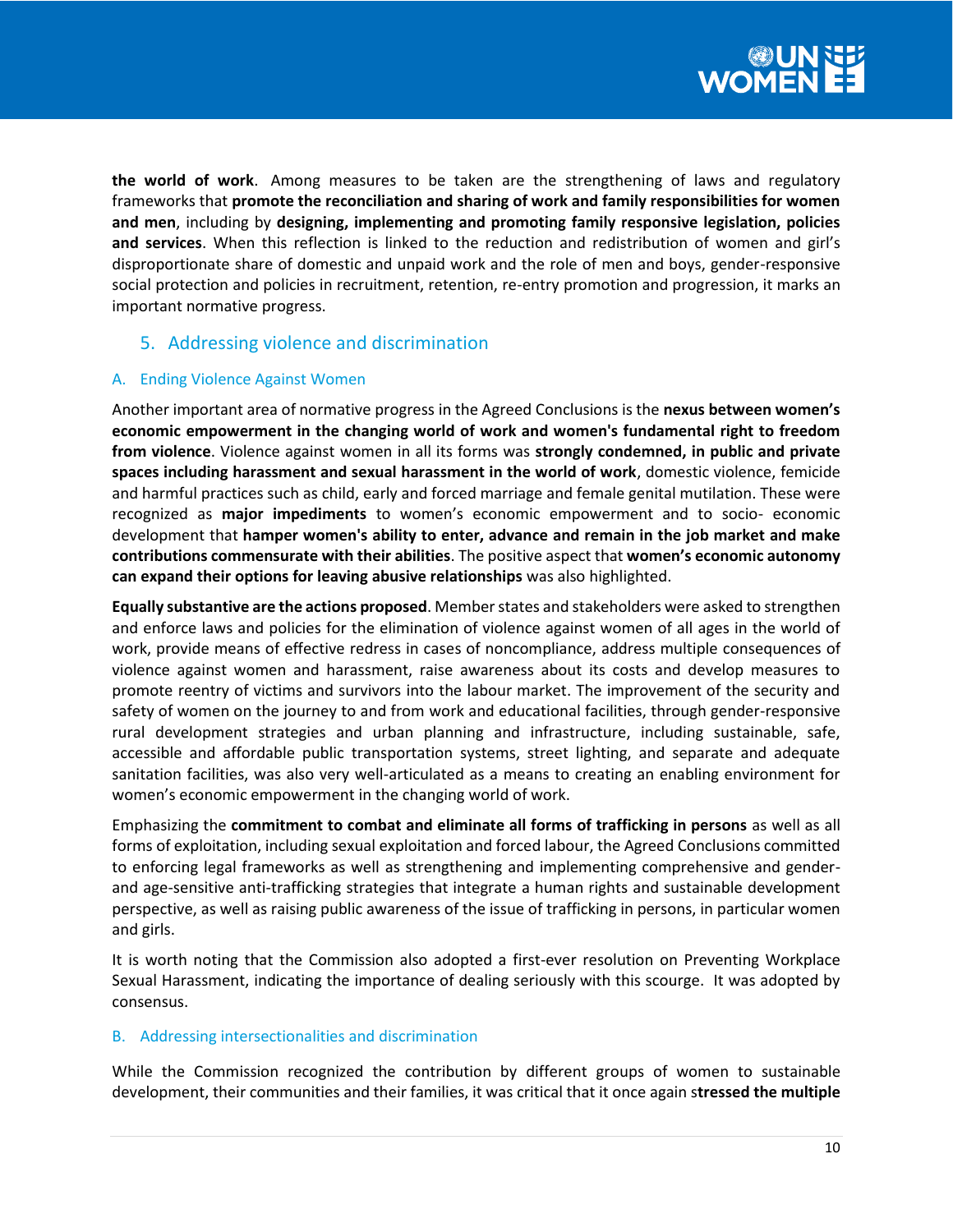

**the world of work**. Among measures to be taken are the strengthening of laws and regulatory frameworks that **promote the reconciliation and sharing of work and family responsibilities for women and men**, including by **designing, implementing and promoting family responsive legislation, policies and services**. When this reflection is linked to the reduction and redistribution of women and girl's disproportionate share of domestic and unpaid work and the role of men and boys, gender-responsive social protection and policies in recruitment, retention, re-entry promotion and progression, it marks an important normative progress.

## 5. Addressing violence and discrimination

## A. Ending Violence Against Women

Another important area of normative progress in the Agreed Conclusions is the **nexus between women's economic empowerment in the changing world of work and women's fundamental right to freedom from violence**. Violence against women in all its forms was **strongly condemned, in public and private spaces including harassment and sexual harassment in the world of work**, domestic violence, femicide and harmful practices such as child, early and forced marriage and female genital mutilation. These were recognized as **major impediments** to women's economic empowerment and to socio- economic development that **hamper women's ability to enter, advance and remain in the job market and make contributions commensurate with their abilities**. The positive aspect that **women's economic autonomy can expand their options for leaving abusive relationships** was also highlighted.

**Equally substantive are the actions proposed**. Member states and stakeholders were asked to strengthen and enforce laws and policies for the elimination of violence against women of all ages in the world of work, provide means of effective redress in cases of noncompliance, address multiple consequences of violence against women and harassment, raise awareness about its costs and develop measures to promote reentry of victims and survivors into the labour market. The improvement of the security and safety of women on the journey to and from work and educational facilities, through gender-responsive rural development strategies and urban planning and infrastructure, including sustainable, safe, accessible and affordable public transportation systems, street lighting, and separate and adequate sanitation facilities, was also very well-articulated as a means to creating an enabling environment for women's economic empowerment in the changing world of work.

Emphasizing the **commitment to combat and eliminate all forms of trafficking in persons** as well as all forms of exploitation, including sexual exploitation and forced labour, the Agreed Conclusions committed to enforcing legal frameworks as well as strengthening and implementing comprehensive and genderand age-sensitive anti-trafficking strategies that integrate a human rights and sustainable development perspective, as well as raising public awareness of the issue of trafficking in persons, in particular women and girls.

It is worth noting that the Commission also adopted a first-ever resolution on Preventing Workplace Sexual Harassment, indicating the importance of dealing seriously with this scourge. It was adopted by consensus.

## B. Addressing intersectionalities and discrimination

While the Commission recognized the contribution by different groups of women to sustainable development, their communities and their families, it was critical that it once again s**tressed the multiple**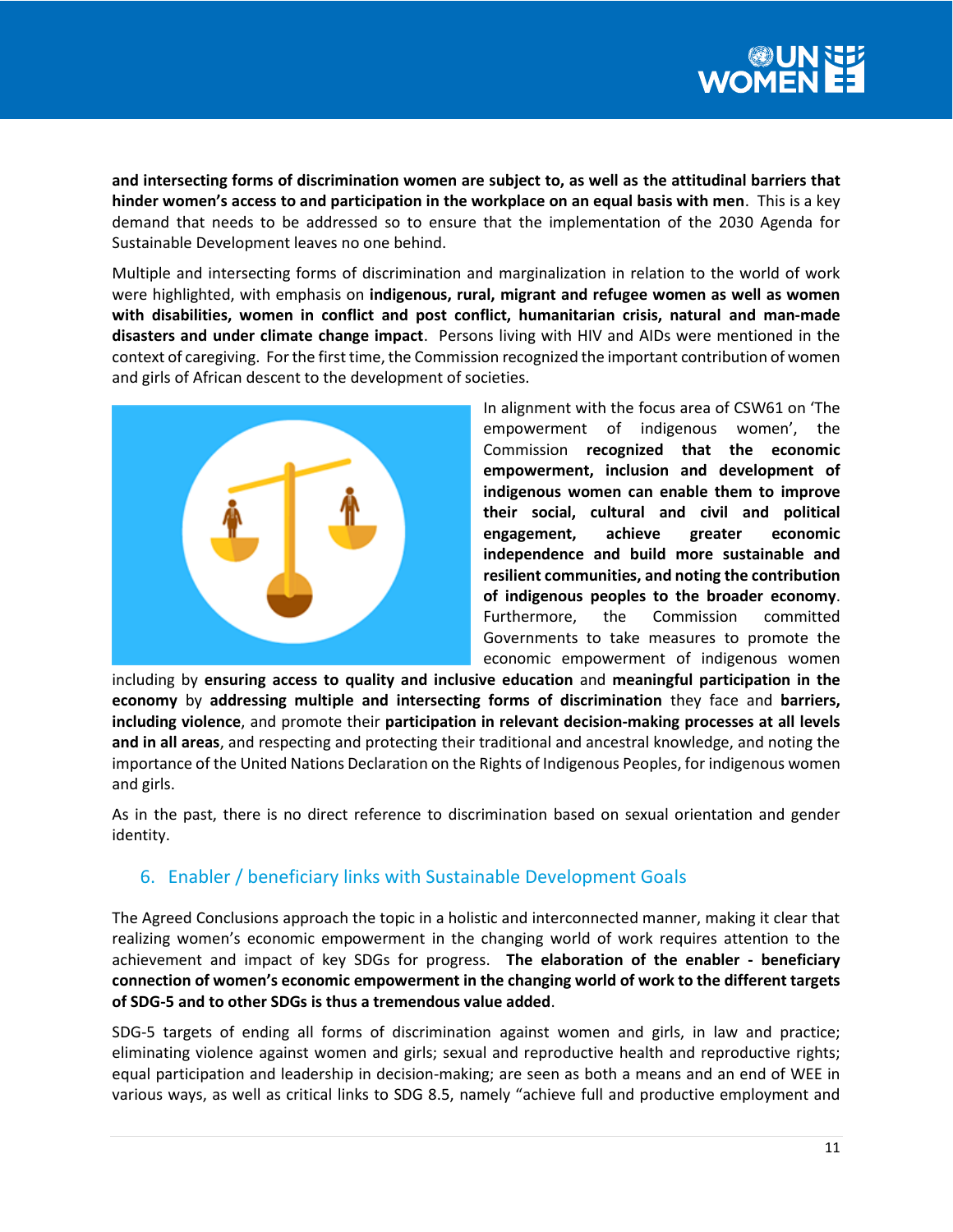

**and intersecting forms of discrimination women are subject to, as well as the attitudinal barriers that hinder women's access to and participation in the workplace on an equal basis with men**. This is a key demand that needs to be addressed so to ensure that the implementation of the 2030 Agenda for Sustainable Development leaves no one behind.

Multiple and intersecting forms of discrimination and marginalization in relation to the world of work were highlighted, with emphasis on **indigenous, rural, migrant and refugee women as well as women with disabilities, women in conflict and post conflict, humanitarian crisis, natural and man-made disasters and under climate change impact**. Persons living with HIV and AIDs were mentioned in the context of caregiving. For the first time, the Commission recognized the important contribution of women and girls of African descent to the development of societies.



In alignment with the focus area of CSW61 on 'The empowerment of indigenous women', the Commission **recognized that the economic empowerment, inclusion and development of indigenous women can enable them to improve their social, cultural and civil and political engagement, achieve greater economic independence and build more sustainable and resilient communities, and noting the contribution of indigenous peoples to the broader economy**. Furthermore, the Commission committed Governments to take measures to promote the economic empowerment of indigenous women

including by **ensuring access to quality and inclusive education** and **meaningful participation in the economy** by **addressing multiple and intersecting forms of discrimination** they face and **barriers, including violence**, and promote their **participation in relevant decision-making processes at all levels and in all areas**, and respecting and protecting their traditional and ancestral knowledge, and noting the importance of the United Nations Declaration on the Rights of Indigenous Peoples, for indigenous women and girls.

As in the past, there is no direct reference to discrimination based on sexual orientation and gender identity.

# 6. Enabler / beneficiary links with Sustainable Development Goals

The Agreed Conclusions approach the topic in a holistic and interconnected manner, making it clear that realizing women's economic empowerment in the changing world of work requires attention to the achievement and impact of key SDGs for progress. **The elaboration of the enabler - beneficiary connection of women's economic empowerment in the changing world of work to the different targets of SDG-5 and to other SDGs is thus a tremendous value added**.

SDG-5 targets of ending all forms of discrimination against women and girls, in law and practice; eliminating violence against women and girls; sexual and reproductive health and reproductive rights; equal participation and leadership in decision-making; are seen as both a means and an end of WEE in various ways, as well as critical links to SDG 8.5, namely "achieve full and productive employment and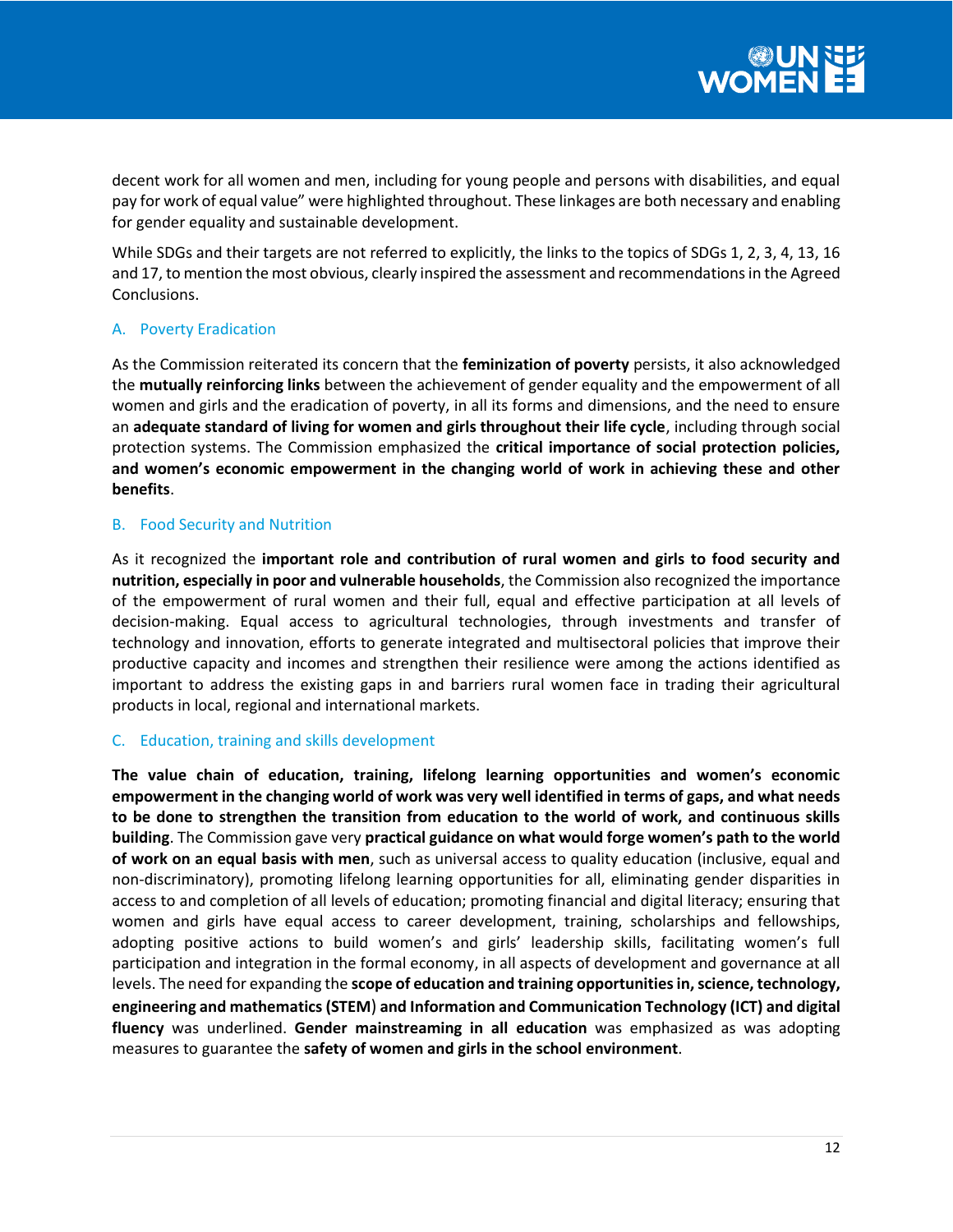decent work for all women and men, including for young people and persons with disabilities, and equal pay for work of equal value" were highlighted throughout. These linkages are both necessary and enabling for gender equality and sustainable development.

While SDGs and their targets are not referred to explicitly, the links to the topics of SDGs 1, 2, 3, 4, 13, 16 and 17, to mention the most obvious, clearly inspired the assessment and recommendations in the Agreed Conclusions.

## A. Poverty Eradication

As the Commission reiterated its concern that the **feminization of poverty** persists, it also acknowledged the **mutually reinforcing links** between the achievement of gender equality and the empowerment of all women and girls and the eradication of poverty, in all its forms and dimensions, and the need to ensure an **adequate standard of living for women and girls throughout their life cycle**, including through social protection systems. The Commission emphasized the **critical importance of social protection policies, and women's economic empowerment in the changing world of work in achieving these and other benefits**.

## B. Food Security and Nutrition

As it recognized the **important role and contribution of rural women and girls to food security and nutrition, especially in poor and vulnerable households**, the Commission also recognized the importance of the empowerment of rural women and their full, equal and effective participation at all levels of decision-making. Equal access to agricultural technologies, through investments and transfer of technology and innovation, efforts to generate integrated and multisectoral policies that improve their productive capacity and incomes and strengthen their resilience were among the actions identified as important to address the existing gaps in and barriers rural women face in trading their agricultural products in local, regional and international markets.

## C. Education, training and skills development

**The value chain of education, training, lifelong learning opportunities and women's economic empowerment in the changing world of work was very well identified in terms of gaps, and what needs to be done to strengthen the transition from education to the world of work, and continuous skills building**. The Commission gave very **practical guidance on what would forge women's path to the world of work on an equal basis with men**, such as universal access to quality education (inclusive, equal and non-discriminatory), promoting lifelong learning opportunities for all, eliminating gender disparities in access to and completion of all levels of education; promoting financial and digital literacy; ensuring that women and girls have equal access to career development, training, scholarships and fellowships, adopting positive actions to build women's and girls' leadership skills, facilitating women's full participation and integration in the formal economy, in all aspects of development and governance at all levels. The need for expanding the **scope of education and training opportunities in, science, technology, engineering and mathematics (STEM**) **and Information and Communication Technology (ICT) and digital fluency** was underlined. **Gender mainstreaming in all education** was emphasized as was adopting measures to guarantee the **safety of women and girls in the school environment**.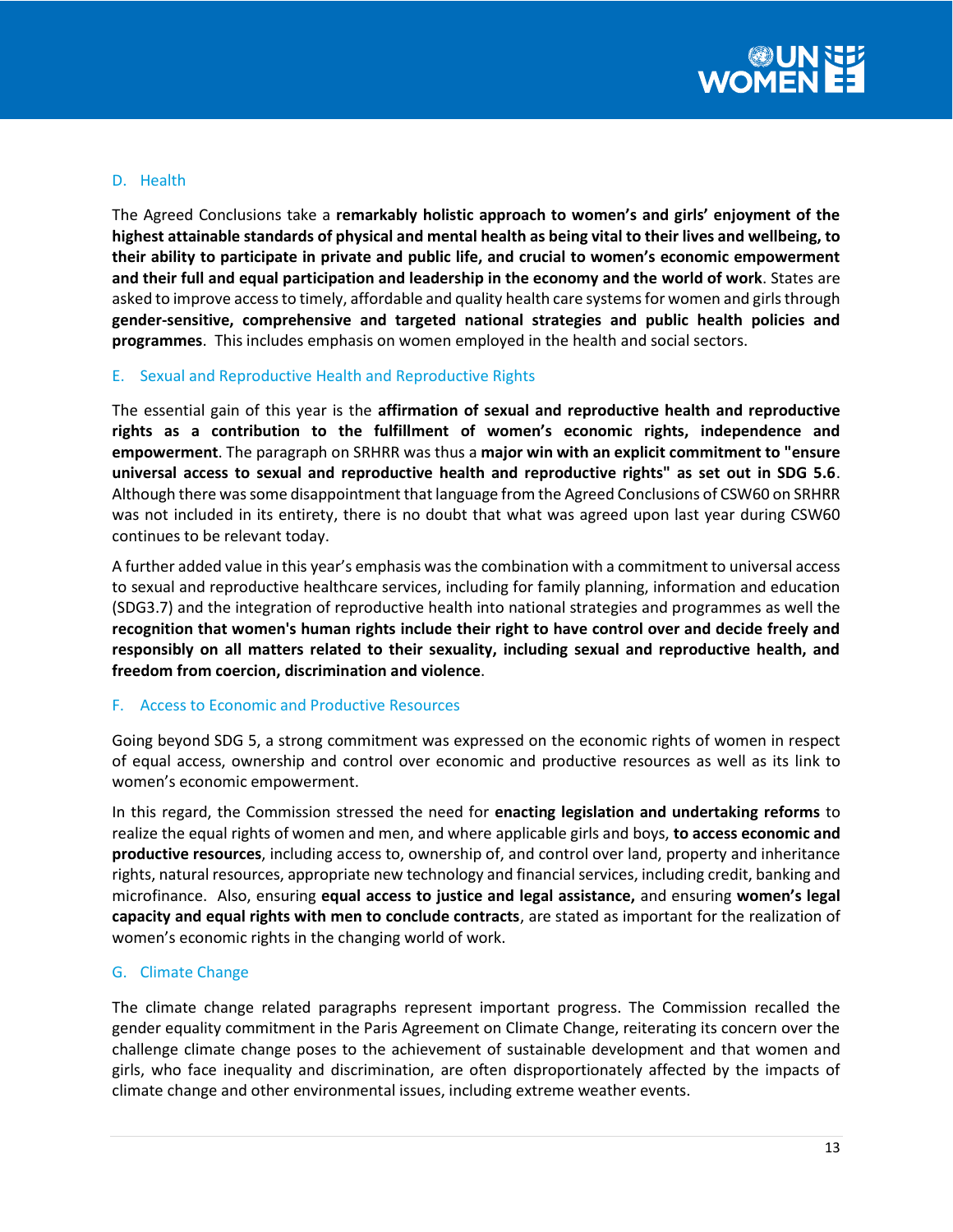

## D. Health

The Agreed Conclusions take a **remarkably holistic approach to women's and girls' enjoyment of the highest attainable standards of physical and mental health as being vital to their lives and wellbeing, to their ability to participate in private and public life, and crucial to women's economic empowerment and their full and equal participation and leadership in the economy and the world of work**. States are asked to improve access to timely, affordable and quality health care systems for women and girls through **gender-sensitive, comprehensive and targeted national strategies and public health policies and programmes**. This includes emphasis on women employed in the health and social sectors.

#### E. Sexual and Reproductive Health and Reproductive Rights

The essential gain of this year is the **affirmation of sexual and reproductive health and reproductive rights as a contribution to the fulfillment of women's economic rights, independence and empowerment**. The paragraph on SRHRR was thus a **major win with an explicit commitment to "ensure universal access to sexual and reproductive health and reproductive rights" as set out in SDG 5.6**. Although there was some disappointment that language from the Agreed Conclusions of CSW60 on SRHRR was not included in its entirety, there is no doubt that what was agreed upon last year during CSW60 continues to be relevant today.

A further added value in this year's emphasis was the combination with a commitment to universal access to sexual and reproductive healthcare services, including for family planning, information and education (SDG3.7) and the integration of reproductive health into national strategies and programmes as well the **recognition that women's human rights include their right to have control over and decide freely and responsibly on all matters related to their sexuality, including sexual and reproductive health, and freedom from coercion, discrimination and violence**.

#### F. Access to Economic and Productive Resources

Going beyond SDG 5, a strong commitment was expressed on the economic rights of women in respect of equal access, ownership and control over economic and productive resources as well as its link to women's economic empowerment.

In this regard, the Commission stressed the need for **enacting legislation and undertaking reforms** to realize the equal rights of women and men, and where applicable girls and boys, **to access economic and productive resources**, including access to, ownership of, and control over land, property and inheritance rights, natural resources, appropriate new technology and financial services, including credit, banking and microfinance. Also, ensuring **equal access to justice and legal assistance,** and ensuring **women's legal capacity and equal rights with men to conclude contracts**, are stated as important for the realization of women's economic rights in the changing world of work.

## G. Climate Change

The climate change related paragraphs represent important progress. The Commission recalled the gender equality commitment in the Paris Agreement on Climate Change, reiterating its concern over the challenge climate change poses to the achievement of sustainable development and that women and girls, who face inequality and discrimination, are often disproportionately affected by the impacts of climate change and other environmental issues, including extreme weather events.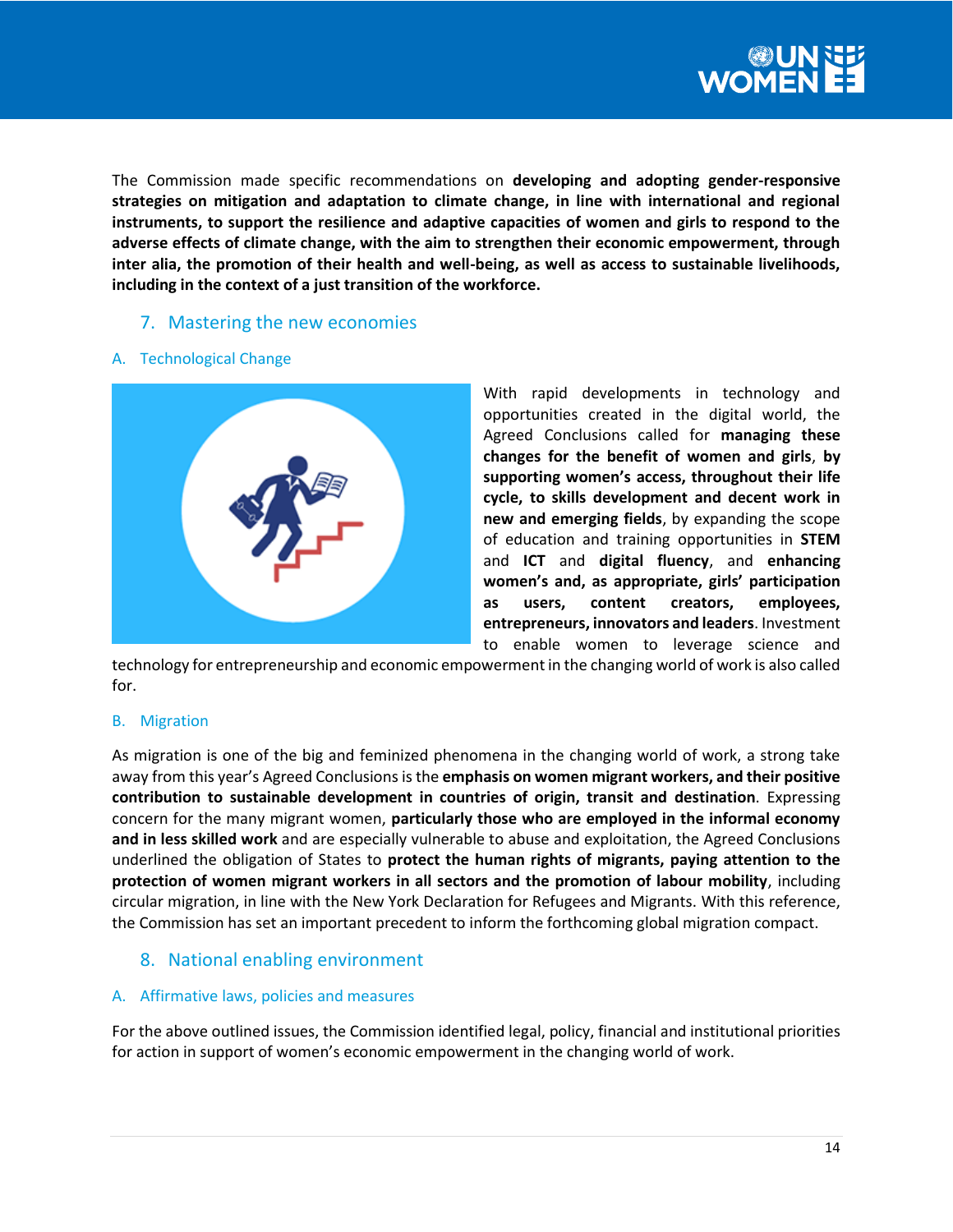

The Commission made specific recommendations on **developing and adopting gender-responsive strategies on mitigation and adaptation to climate change, in line with international and regional instruments, to support the resilience and adaptive capacities of women and girls to respond to the adverse effects of climate change, with the aim to strengthen their economic empowerment, through inter alia, the promotion of their health and well-being, as well as access to sustainable livelihoods, including in the context of a just transition of the workforce.**

## 7. Mastering the new economies

#### A. Technological Change



With rapid developments in technology and opportunities created in the digital world, the Agreed Conclusions called for **managing these changes for the benefit of women and girls**, **by supporting women's access, throughout their life cycle, to skills development and decent work in new and emerging fields**, by expanding the scope of education and training opportunities in **STEM** and **ICT** and **digital fluency**, and **enhancing women's and, as appropriate, girls' participation as users, content creators, employees, entrepreneurs, innovators and leaders**. Investment to enable women to leverage science and

technology for entrepreneurship and economic empowerment in the changing world of work is also called for.

#### B. Migration

As migration is one of the big and feminized phenomena in the changing world of work, a strong take away from this year's Agreed Conclusions is the **emphasis on women migrant workers, and their positive contribution to sustainable development in countries of origin, transit and destination**. Expressing concern for the many migrant women, **particularly those who are employed in the informal economy and in less skilled work** and are especially vulnerable to abuse and exploitation, the Agreed Conclusions underlined the obligation of States to **protect the human rights of migrants, paying attention to the protection of women migrant workers in all sectors and the promotion of labour mobility**, including circular migration, in line with the New York Declaration for Refugees and Migrants. With this reference, the Commission has set an important precedent to inform the forthcoming global migration compact.

## 8. National enabling environment

## A. Affirmative laws, policies and measures

For the above outlined issues, the Commission identified legal, policy, financial and institutional priorities for action in support of women's economic empowerment in the changing world of work.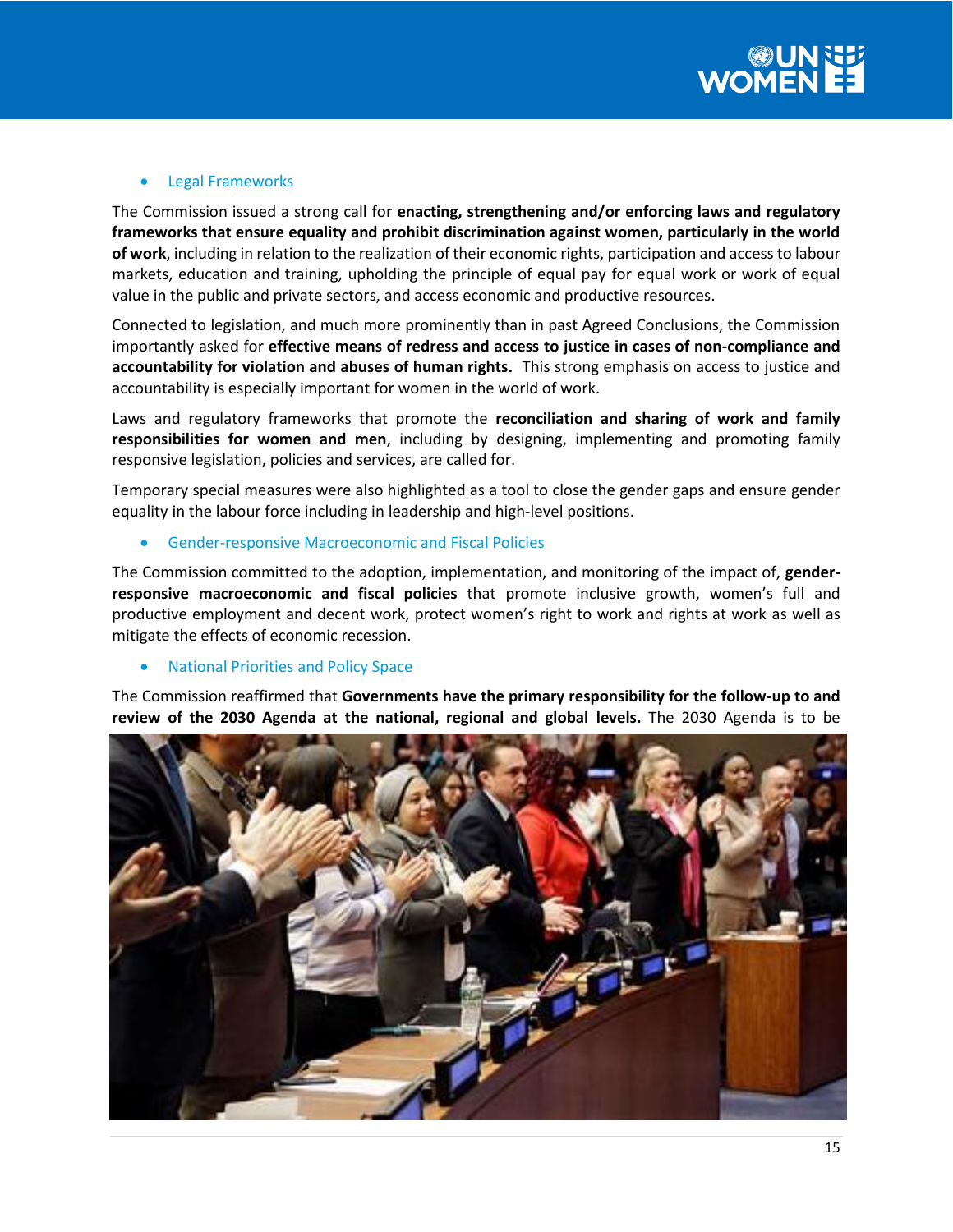#### **•** Legal Frameworks

The Commission issued a strong call for **enacting, strengthening and/or enforcing laws and regulatory frameworks that ensure equality and prohibit discrimination against women, particularly in the world of work**, including in relation to the realization of their economic rights, participation and access to labour markets, education and training, upholding the principle of equal pay for equal work or work of equal value in the public and private sectors, and access economic and productive resources.

Connected to legislation, and much more prominently than in past Agreed Conclusions, the Commission importantly asked for **effective means of redress and access to justice in cases of non-compliance and accountability for violation and abuses of human rights.** This strong emphasis on access to justice and accountability is especially important for women in the world of work.

Laws and regulatory frameworks that promote the **reconciliation and sharing of work and family responsibilities for women and men**, including by designing, implementing and promoting family responsive legislation, policies and services, are called for.

Temporary special measures were also highlighted as a tool to close the gender gaps and ensure gender equality in the labour force including in leadership and high-level positions.

#### Gender-responsive Macroeconomic and Fiscal Policies

The Commission committed to the adoption, implementation, and monitoring of the impact of, **genderresponsive macroeconomic and fiscal policies** that promote inclusive growth, women's full and productive employment and decent work, protect women's right to work and rights at work as well as mitigate the effects of economic recession.

#### National Priorities and Policy Space

The Commission reaffirmed that **Governments have the primary responsibility for the follow-up to and review of the 2030 Agenda at the national, regional and global levels.** The 2030 Agenda is to be

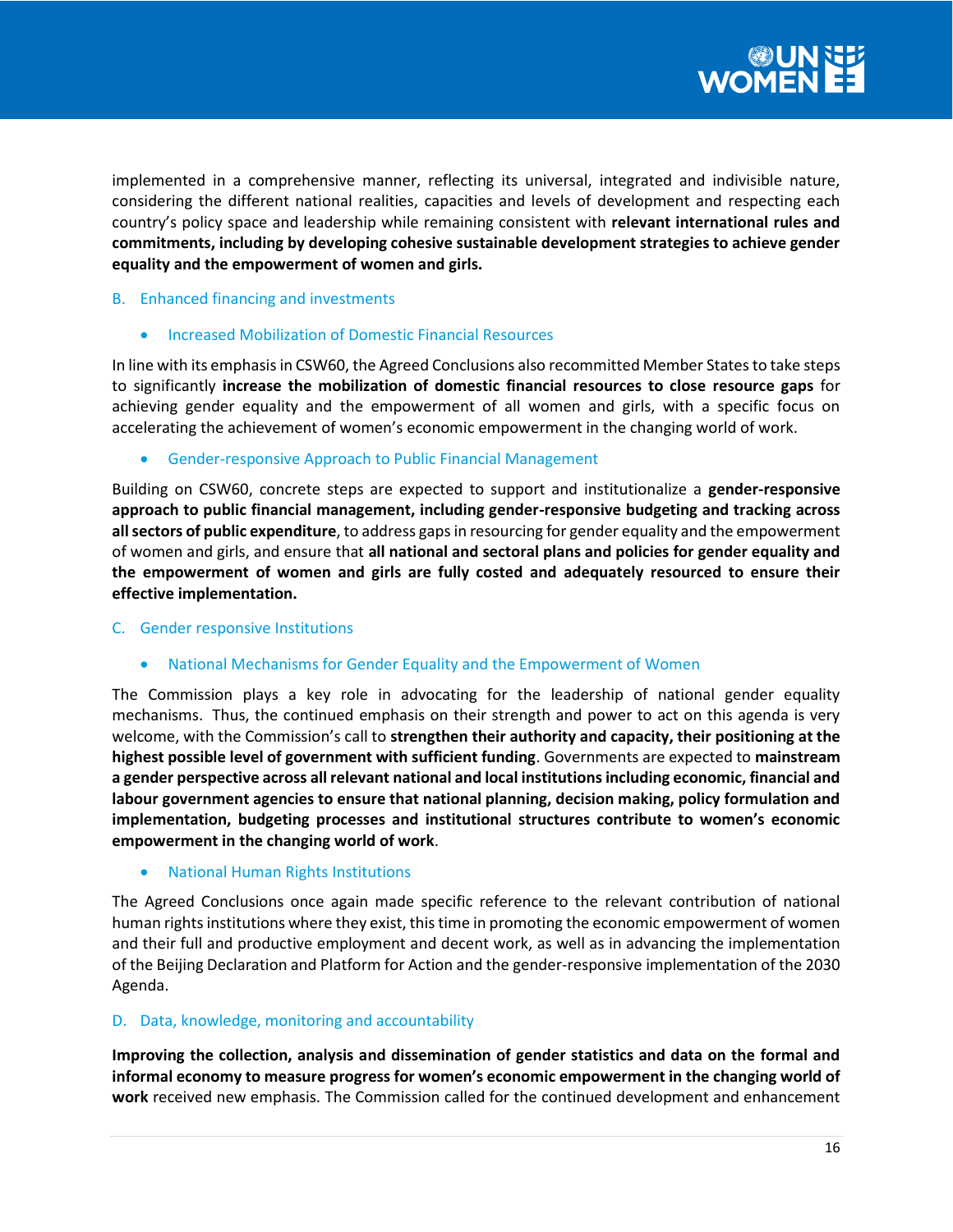implemented in a comprehensive manner, reflecting its universal, integrated and indivisible nature, considering the different national realities, capacities and levels of development and respecting each country's policy space and leadership while remaining consistent with **relevant international rules and commitments, including by developing cohesive sustainable development strategies to achieve gender equality and the empowerment of women and girls.** 

## B. Enhanced financing and investments

Increased Mobilization of Domestic Financial Resources

In line with its emphasis in CSW60, the Agreed Conclusions also recommitted Member States to take steps to significantly **increase the mobilization of domestic financial resources to close resource gaps** for achieving gender equality and the empowerment of all women and girls, with a specific focus on accelerating the achievement of women's economic empowerment in the changing world of work.

Gender-responsive Approach to Public Financial Management

Building on CSW60, concrete steps are expected to support and institutionalize a **gender-responsive approach to public financial management, including gender-responsive budgeting and tracking across all sectors of public expenditure**, to address gaps in resourcing for gender equality and the empowerment of women and girls, and ensure that **all national and sectoral plans and policies for gender equality and the empowerment of women and girls are fully costed and adequately resourced to ensure their effective implementation.**

## C. Gender responsive Institutions

National Mechanisms for Gender Equality and the Empowerment of Women

The Commission plays a key role in advocating for the leadership of national gender equality mechanisms. Thus, the continued emphasis on their strength and power to act on this agenda is very welcome, with the Commission's call to **strengthen their authority and capacity, their positioning at the highest possible level of government with sufficient funding**. Governments are expected to **mainstream a gender perspective across all relevant national and local institutions including economic, financial and labour government agencies to ensure that national planning, decision making, policy formulation and implementation, budgeting processes and institutional structures contribute to women's economic empowerment in the changing world of work**.

National Human Rights Institutions

The Agreed Conclusions once again made specific reference to the relevant contribution of national human rights institutions where they exist, this time in promoting the economic empowerment of women and their full and productive employment and decent work, as well as in advancing the implementation of the Beijing Declaration and Platform for Action and the gender-responsive implementation of the 2030 Agenda.

## D. Data, knowledge, monitoring and accountability

**Improving the collection, analysis and dissemination of gender statistics and data on the formal and informal economy to measure progress for women's economic empowerment in the changing world of work** received new emphasis. The Commission called for the continued development and enhancement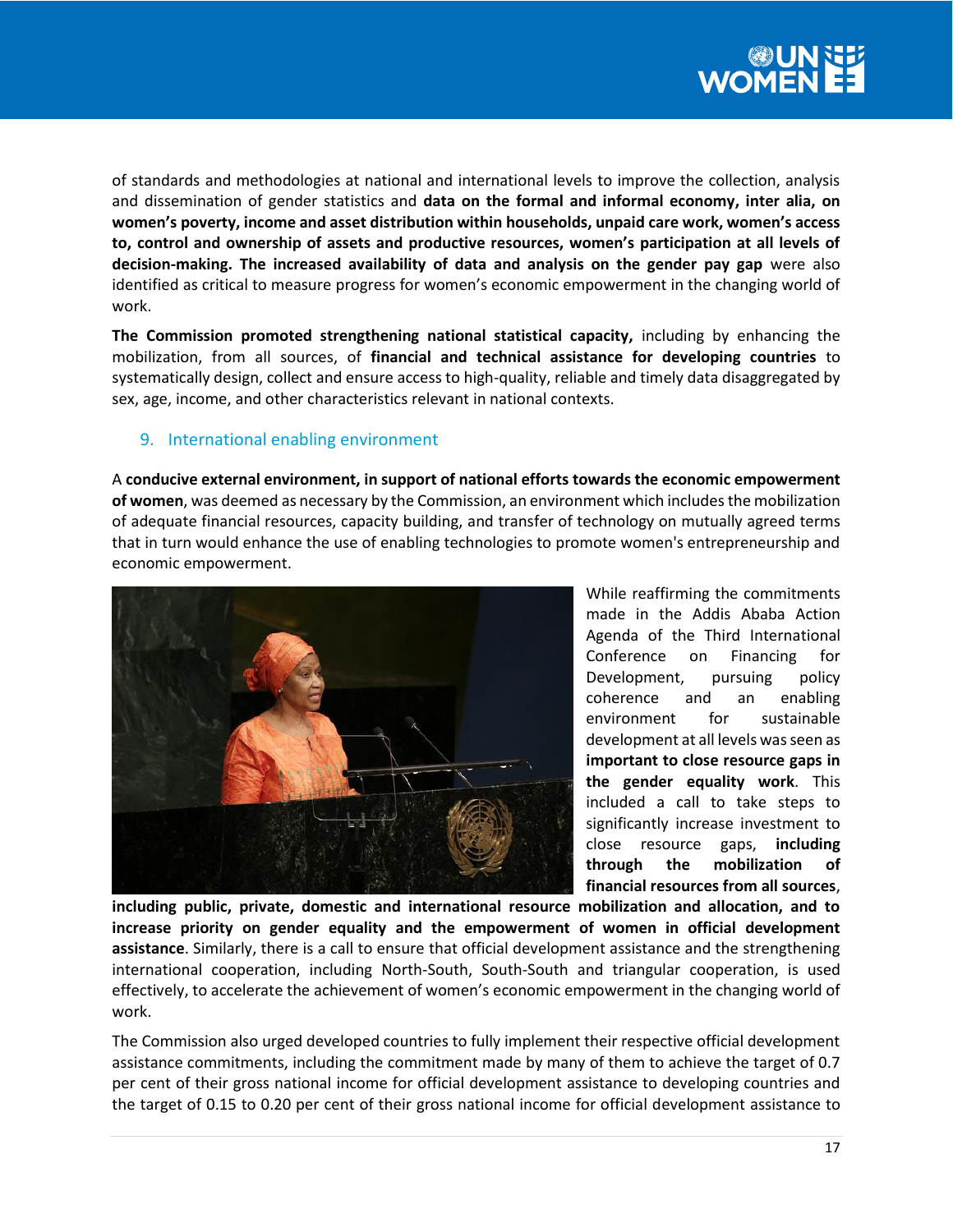

of standards and methodologies at national and international levels to improve the collection, analysis and dissemination of gender statistics and **data on the formal and informal economy, inter alia, on women's poverty, income and asset distribution within households, unpaid care work, women's access to, control and ownership of assets and productive resources, women's participation at all levels of decision-making. The increased availability of data and analysis on the gender pay gap** were also identified as critical to measure progress for women's economic empowerment in the changing world of work.

**The Commission promoted strengthening national statistical capacity,** including by enhancing the mobilization, from all sources, of **financial and technical assistance for developing countries** to systematically design, collect and ensure access to high-quality, reliable and timely data disaggregated by sex, age, income, and other characteristics relevant in national contexts.

## 9. International enabling environment

A **conducive external environment, in support of national efforts towards the economic empowerment of women**, was deemed as necessary by the Commission, an environment which includes the mobilization of adequate financial resources, capacity building, and transfer of technology on mutually agreed terms that in turn would enhance the use of enabling technologies to promote women's entrepreneurship and economic empowerment.



While reaffirming the commitments made in the Addis Ababa Action Agenda of the Third International Conference on Financing for Development, pursuing policy coherence and an enabling environment for sustainable development at all levels was seen as **important to close resource gaps in the gender equality work**. This included a call to take steps to significantly increase investment to close resource gaps, **including through the mobilization of financial resources from all sources**,

**including public, private, domestic and international resource mobilization and allocation, and to increase priority on gender equality and the empowerment of women in official development assistance**. Similarly, there is a call to ensure that official development assistance and the strengthening international cooperation, including North-South, South-South and triangular cooperation, is used effectively, to accelerate the achievement of women's economic empowerment in the changing world of work.

The Commission also urged developed countries to fully implement their respective official development assistance commitments, including the commitment made by many of them to achieve the target of 0.7 per cent of their gross national income for official development assistance to developing countries and the target of 0.15 to 0.20 per cent of their gross national income for official development assistance to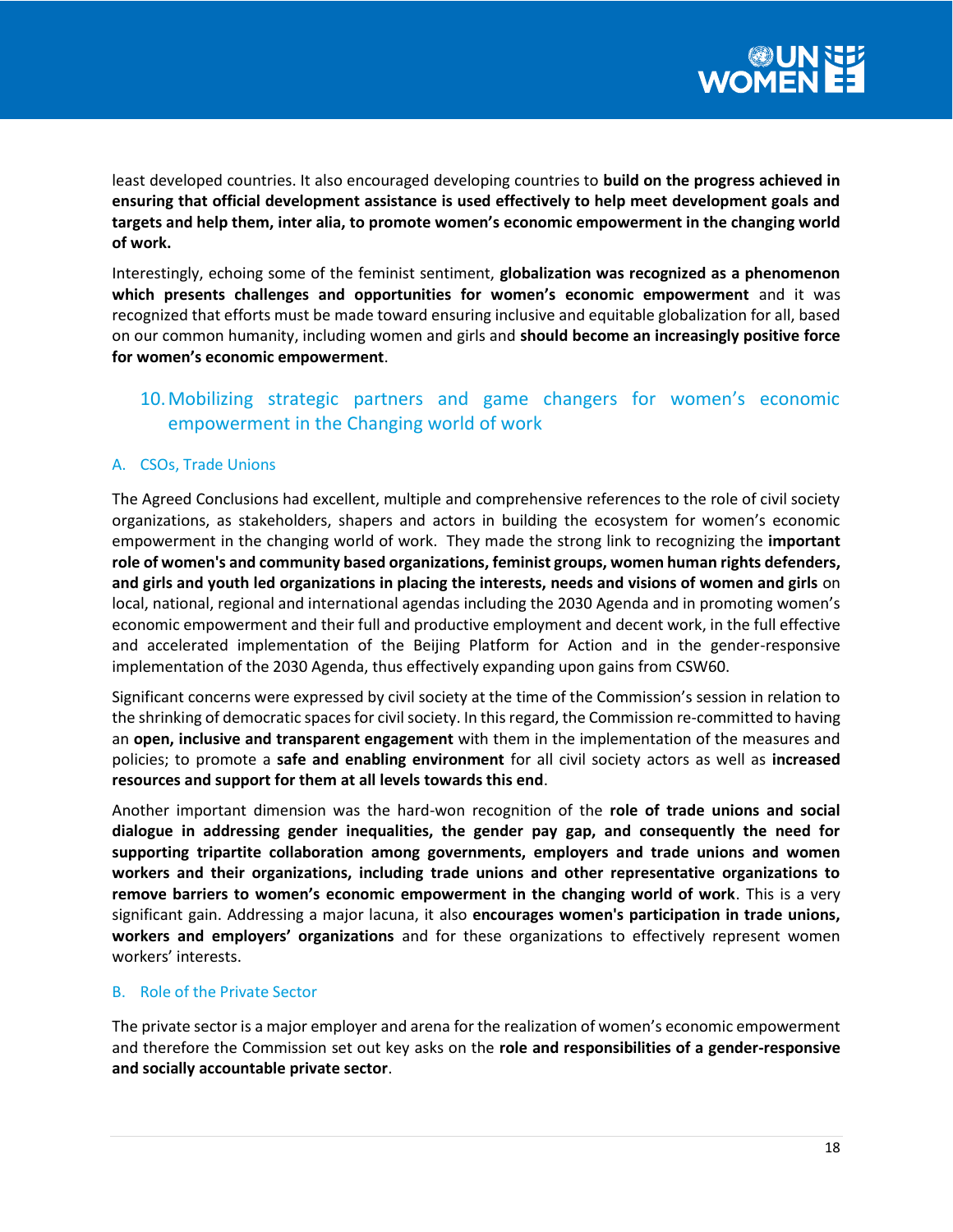least developed countries. It also encouraged developing countries to **build on the progress achieved in ensuring that official development assistance is used effectively to help meet development goals and targets and help them, inter alia, to promote women's economic empowerment in the changing world of work.**

Interestingly, echoing some of the feminist sentiment, **globalization was recognized as a phenomenon which presents challenges and opportunities for women's economic empowerment** and it was recognized that efforts must be made toward ensuring inclusive and equitable globalization for all, based on our common humanity, including women and girls and **should become an increasingly positive force for women's economic empowerment**.

# 10.Mobilizing strategic partners and game changers for women's economic empowerment in the Changing world of work

## A. CSOs, Trade Unions

The Agreed Conclusions had excellent, multiple and comprehensive references to the role of civil society organizations, as stakeholders, shapers and actors in building the ecosystem for women's economic empowerment in the changing world of work. They made the strong link to recognizing the **important role of women's and community based organizations, feminist groups, women human rights defenders, and girls and youth led organizations in placing the interests, needs and visions of women and girls** on local, national, regional and international agendas including the 2030 Agenda and in promoting women's economic empowerment and their full and productive employment and decent work, in the full effective and accelerated implementation of the Beijing Platform for Action and in the gender-responsive implementation of the 2030 Agenda, thus effectively expanding upon gains from CSW60.

Significant concerns were expressed by civil society at the time of the Commission's session in relation to the shrinking of democratic spaces for civil society. In this regard, the Commission re-committed to having an **open, inclusive and transparent engagement** with them in the implementation of the measures and policies; to promote a **safe and enabling environment** for all civil society actors as well as **increased resources and support for them at all levels towards this end**.

Another important dimension was the hard-won recognition of the **role of trade unions and social dialogue in addressing gender inequalities, the gender pay gap, and consequently the need for supporting tripartite collaboration among governments, employers and trade unions and women workers and their organizations, including trade unions and other representative organizations to remove barriers to women's economic empowerment in the changing world of work**. This is a very significant gain. Addressing a major lacuna, it also **encourages women's participation in trade unions, workers and employers' organizations** and for these organizations to effectively represent women workers' interests.

## B. Role of the Private Sector

The private sector is a major employer and arena for the realization of women's economic empowerment and therefore the Commission set out key asks on the **role and responsibilities of a gender-responsive and socially accountable private sector**.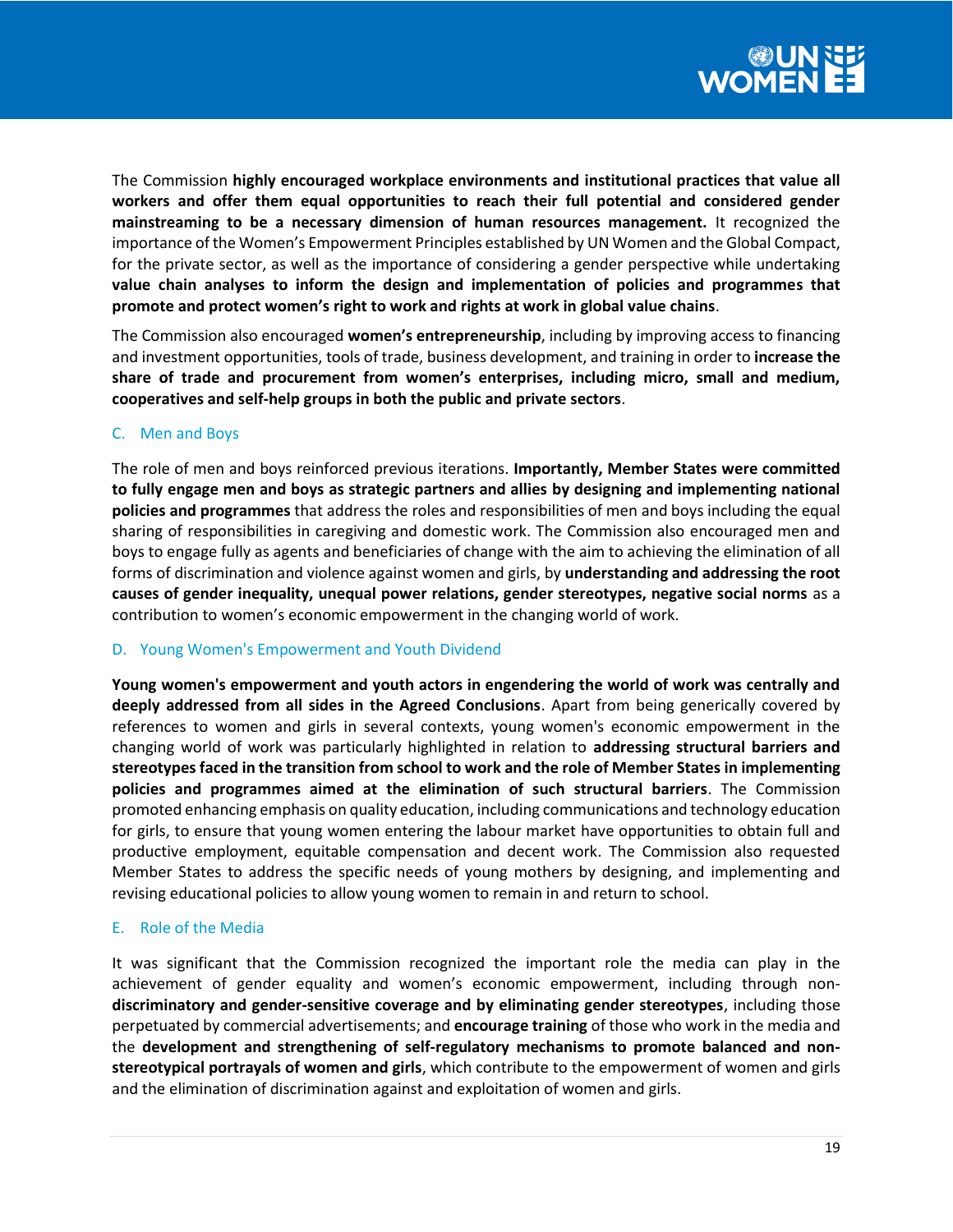

The Commission **highly encouraged workplace environments and institutional practices that value all workers and offer them equal opportunities to reach their full potential and considered gender mainstreaming to be a necessary dimension of human resources management.** It recognized the importance of the Women's Empowerment Principles established by UN Women and the Global Compact, for the private sector, as well as the importance of considering a gender perspective while undertaking **value chain analyses to inform the design and implementation of policies and programmes that promote and protect women's right to work and rights at work in global value chains**.

The Commission also encouraged **women's entrepreneurship**, including by improving access to financing and investment opportunities, tools of trade, business development, and training in order to **increase the share of trade and procurement from women's enterprises, including micro, small and medium, cooperatives and self-help groups in both the public and private sectors**.

## C. Men and Boys

The role of men and boys reinforced previous iterations. **Importantly, Member States were committed to fully engage men and boys as strategic partners and allies by designing and implementing national policies and programmes** that address the roles and responsibilities of men and boys including the equal sharing of responsibilities in caregiving and domestic work. The Commission also encouraged men and boys to engage fully as agents and beneficiaries of change with the aim to achieving the elimination of all forms of discrimination and violence against women and girls, by **understanding and addressing the root causes of gender inequality, unequal power relations, gender stereotypes, negative social norms** as a contribution to women's economic empowerment in the changing world of work.

## D. Young Women's Empowerment and Youth Dividend

**Young women's empowerment and youth actors in engendering the world of work was centrally and deeply addressed from all sides in the Agreed Conclusions**. Apart from being generically covered by references to women and girls in several contexts, young women's economic empowerment in the changing world of work was particularly highlighted in relation to **addressing structural barriers and stereotypes faced in the transition from school to work and the role of Member States in implementing policies and programmes aimed at the elimination of such structural barriers**. The Commission promoted enhancing emphasis on quality education, including communications and technology education for girls, to ensure that young women entering the labour market have opportunities to obtain full and productive employment, equitable compensation and decent work. The Commission also requested Member States to address the specific needs of young mothers by designing, and implementing and revising educational policies to allow young women to remain in and return to school.

## E. Role of the Media

It was significant that the Commission recognized the important role the media can play in the achievement of gender equality and women's economic empowerment, including through non**discriminatory and gender-sensitive coverage and by eliminating gender stereotypes**, including those perpetuated by commercial advertisements; and **encourage training** of those who work in the media and the **development and strengthening of self-regulatory mechanisms to promote balanced and nonstereotypical portrayals of women and girls**, which contribute to the empowerment of women and girls and the elimination of discrimination against and exploitation of women and girls.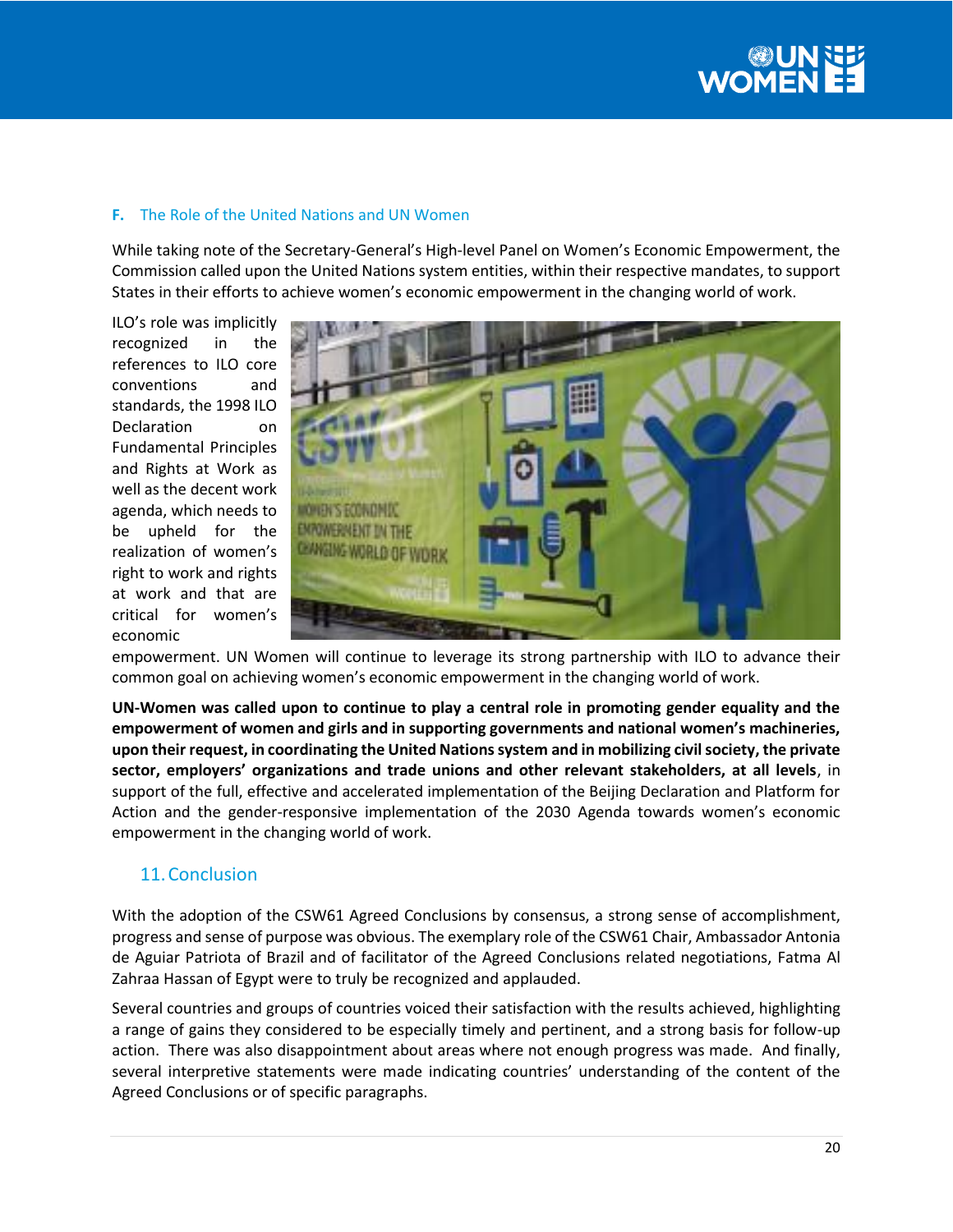

## **F.** The Role of the United Nations and UN Women

While taking note of the Secretary-General's High-level Panel on Women's Economic Empowerment, the Commission called upon the United Nations system entities, within their respective mandates, to support States in their efforts to achieve women's economic empowerment in the changing world of work.

ILO's role was implicitly recognized in the references to ILO core conventions and standards, the 1998 ILO Declaration on Fundamental Principles and Rights at Work as well as the decent work agenda, which needs to be upheld for the realization of women's right to work and rights at work and that are critical for women's economic



empowerment. UN Women will continue to leverage its strong partnership with ILO to advance their common goal on achieving women's economic empowerment in the changing world of work.

**UN-Women was called upon to continue to play a central role in promoting gender equality and the empowerment of women and girls and in supporting governments and national women's machineries, upon their request, in coordinating the United Nations system and in mobilizing civil society, the private sector, employers' organizations and trade unions and other relevant stakeholders, at all levels**, in support of the full, effective and accelerated implementation of the Beijing Declaration and Platform for Action and the gender-responsive implementation of the 2030 Agenda towards women's economic empowerment in the changing world of work.

# 11.Conclusion

With the adoption of the CSW61 Agreed Conclusions by consensus, a strong sense of accomplishment, progress and sense of purpose was obvious. The exemplary role of the CSW61 Chair, Ambassador Antonia de Aguiar Patriota of Brazil and of facilitator of the Agreed Conclusions related negotiations, Fatma Al Zahraa Hassan of Egypt were to truly be recognized and applauded.

Several countries and groups of countries voiced their satisfaction with the results achieved, highlighting a range of gains they considered to be especially timely and pertinent, and a strong basis for follow-up action. There was also disappointment about areas where not enough progress was made. And finally, several interpretive statements were made indicating countries' understanding of the content of the Agreed Conclusions or of specific paragraphs.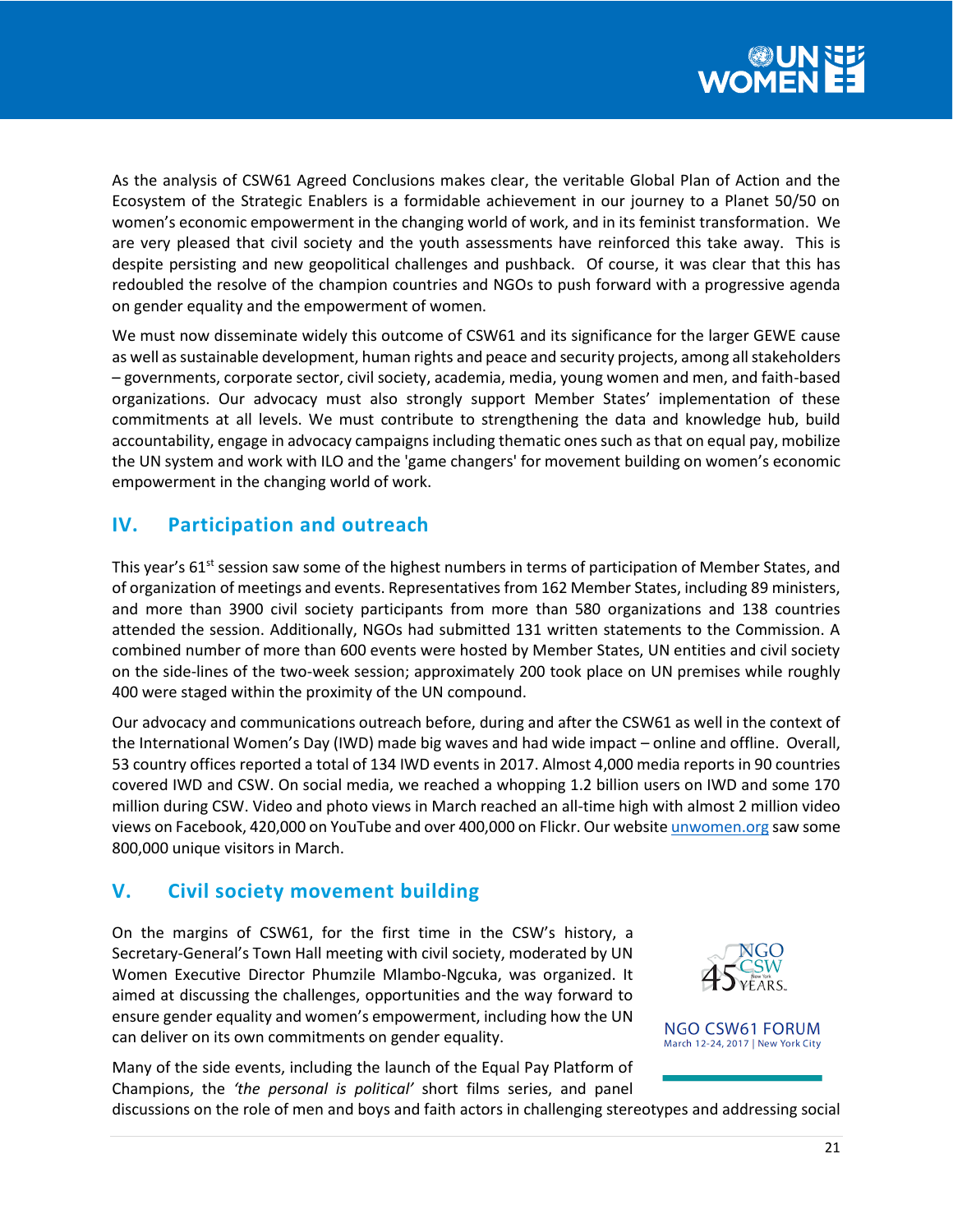

As the analysis of CSW61 Agreed Conclusions makes clear, the veritable Global Plan of Action and the Ecosystem of the Strategic Enablers is a formidable achievement in our journey to a Planet 50/50 on women's economic empowerment in the changing world of work, and in its feminist transformation. We are very pleased that civil society and the youth assessments have reinforced this take away. This is despite persisting and new geopolitical challenges and pushback. Of course, it was clear that this has redoubled the resolve of the champion countries and NGOs to push forward with a progressive agenda on gender equality and the empowerment of women.

We must now disseminate widely this outcome of CSW61 and its significance for the larger GEWE cause as well as sustainable development, human rights and peace and security projects, among all stakeholders – governments, corporate sector, civil society, academia, media, young women and men, and faith-based organizations. Our advocacy must also strongly support Member States' implementation of these commitments at all levels. We must contribute to strengthening the data and knowledge hub, build accountability, engage in advocacy campaigns including thematic ones such as that on equal pay, mobilize the UN system and work with ILO and the 'game changers' for movement building on women's economic empowerment in the changing world of work.

# **IV. Participation and outreach**

This year's 61<sup>st</sup> session saw some of the highest numbers in terms of participation of Member States, and of organization of meetings and events. Representatives from 162 Member States, including 89 ministers, and more than 3900 civil society participants from more than 580 organizations and 138 countries attended the session. Additionally, NGOs had submitted 131 written statements to the Commission. A combined number of more than 600 events were hosted by Member States, UN entities and civil society on the side-lines of the two-week session; approximately 200 took place on UN premises while roughly 400 were staged within the proximity of the UN compound.

Our advocacy and communications outreach before, during and after the CSW61 as well in the context of the International Women's Day (IWD) made big waves and had wide impact – online and offline. Overall, 53 country offices reported a total of 134 IWD events in 2017. Almost 4,000 media reports in 90 countries covered IWD and CSW. On social media, we reached a whopping 1.2 billion users on IWD and some 170 million during CSW. Video and photo views in March reached an all-time high with almost 2 million video views on Facebook, 420,000 on YouTube and over 400,000 on Flickr. Our websit[e unwomen.org](http://unwomen.org/) saw some 800,000 unique visitors in March.

# **V. Civil society movement building**

On the margins of CSW61, for the first time in the CSW's history, a Secretary-General's Town Hall meeting with civil society, moderated by UN Women Executive Director Phumzile Mlambo-Ngcuka, was organized. It aimed at discussing the challenges, opportunities and the way forward to ensure gender equality and women's empowerment, including how the UN can deliver on its own commitments on gender equality.





Many of the side events, including the launch of the Equal Pay Platform of Champions, the *'the personal is political'* short films series, and panel

discussions on the role of men and boys and faith actors in challenging stereotypes and addressing social